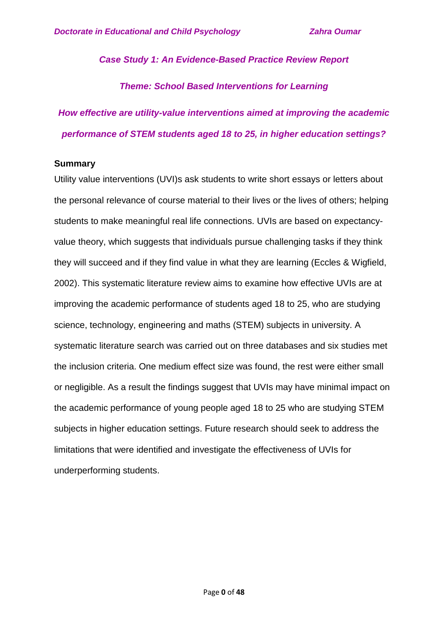*Case Study 1: An Evidence-Based Practice Review Report*

*Theme: School Based Interventions for Learning*

*How effective are utility-value interventions aimed at improving the academic performance of STEM students aged 18 to 25, in higher education settings?*

## **Summary**

Utility value interventions (UVI)s ask students to write short essays or letters about the personal relevance of course material to their lives or the lives of others; helping students to make meaningful real life connections. UVIs are based on expectancyvalue theory, which suggests that individuals pursue challenging tasks if they think they will succeed and if they find value in what they are learning (Eccles & Wigfield, 2002). This systematic literature review aims to examine how effective UVIs are at improving the academic performance of students aged 18 to 25, who are studying science, technology, engineering and maths (STEM) subjects in university. A systematic literature search was carried out on three databases and six studies met the inclusion criteria. One medium effect size was found, the rest were either small or negligible. As a result the findings suggest that UVIs may have minimal impact on the academic performance of young people aged 18 to 25 who are studying STEM subjects in higher education settings. Future research should seek to address the limitations that were identified and investigate the effectiveness of UVIs for underperforming students.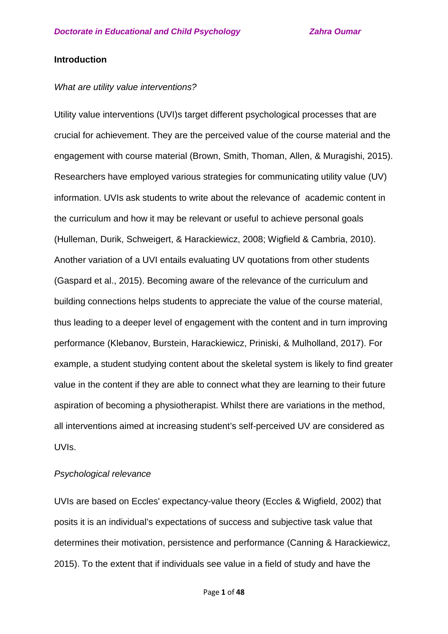### **Introduction**

### *What are utility value interventions?*

Utility value interventions (UVI)s target different psychological processes that are crucial for achievement. They are the perceived value of the course material and the engagement with course material (Brown, Smith, Thoman, Allen, & Muragishi, 2015). Researchers have employed various strategies for communicating utility value (UV) information. UVIs ask students to write about the relevance of academic content in the curriculum and how it may be relevant or useful to achieve personal goals (Hulleman, Durik, Schweigert, & Harackiewicz, 2008; Wigfield & Cambria, 2010). Another variation of a UVI entails evaluating UV quotations from other students (Gaspard et al., 2015). Becoming aware of the relevance of the curriculum and building connections helps students to appreciate the value of the course material, thus leading to a deeper level of engagement with the content and in turn improving performance (Klebanov, Burstein, Harackiewicz, Priniski, & Mulholland, 2017). For example, a student studying content about the skeletal system is likely to find greater value in the content if they are able to connect what they are learning to their future aspiration of becoming a physiotherapist. Whilst there are variations in the method, all interventions aimed at increasing student's self-perceived UV are considered as UVIs.

### *Psychological relevance*

UVIs are based on Eccles' expectancy-value theory (Eccles & Wigfield, 2002) that posits it is an individual's expectations of success and subjective task value that determines their motivation, persistence and performance (Canning & Harackiewicz, 2015). To the extent that if individuals see value in a field of study and have the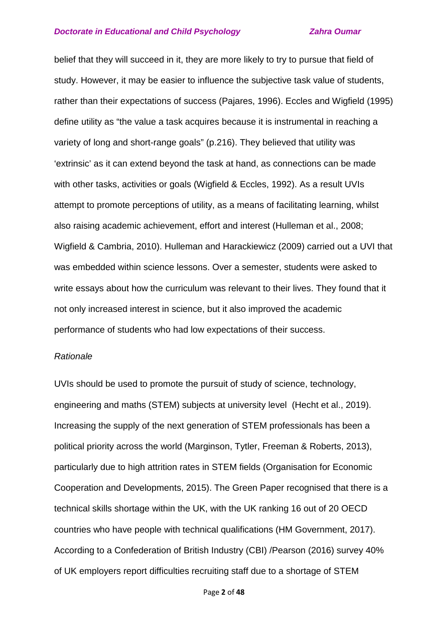belief that they will succeed in it, they are more likely to try to pursue that field of study. However, it may be easier to influence the subjective task value of students, rather than their expectations of success (Pajares, 1996). Eccles and Wigfield (1995) define utility as "the value a task acquires because it is instrumental in reaching a variety of long and short-range goals" (p.216). They believed that utility was 'extrinsic' as it can extend beyond the task at hand, as connections can be made with other tasks, activities or goals (Wigfield & Eccles, 1992). As a result UVIs attempt to promote perceptions of utility, as a means of facilitating learning, whilst also raising academic achievement, effort and interest (Hulleman et al., 2008; Wigfield & Cambria, 2010). Hulleman and Harackiewicz (2009) carried out a UVI that was embedded within science lessons. Over a semester, students were asked to write essays about how the curriculum was relevant to their lives. They found that it not only increased interest in science, but it also improved the academic performance of students who had low expectations of their success.

### *Rationale*

UVIs should be used to promote the pursuit of study of science, technology, engineering and maths (STEM) subjects at university level (Hecht et al., 2019). Increasing the supply of the next generation of STEM professionals has been a political priority across the world (Marginson, Tytler, Freeman & Roberts, 2013), particularly due to high attrition rates in STEM fields (Organisation for Economic Cooperation and Developments, 2015). The Green Paper recognised that there is a technical skills shortage within the UK, with the UK ranking 16 out of 20 OECD countries who have people with technical qualifications (HM Government, 2017). According to a Confederation of British Industry (CBI) /Pearson (2016) survey 40% of UK employers report difficulties recruiting staff due to a shortage of STEM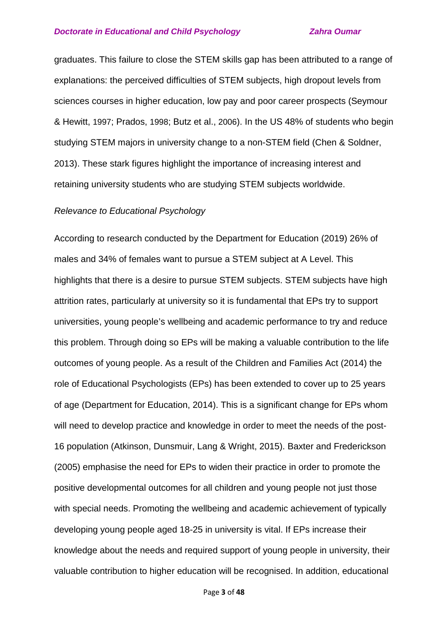graduates. This failure to close the STEM skills gap has been attributed to a range of explanations: the perceived difficulties of STEM subjects, high dropout levels from sciences courses in higher education, low pay and poor career prospects (Seymour & Hewitt, [1997;](https://www.tandfonline.com/doi/full/10.1080/01411926.2010.515019?needAccess=true&instName=UCL+%28University+College+London%29) Prados, [1998;](https://www.tandfonline.com/doi/full/10.1080/01411926.2010.515019?needAccess=true&instName=UCL+%28University+College+London%29) Butz et al., [2006\)](https://www.tandfonline.com/doi/full/10.1080/01411926.2010.515019?needAccess=true&instName=UCL+%28University+College+London%29). In the US 48% of students who begin studying STEM majors in university change to a non-STEM field (Chen & Soldner, 2013). These stark figures highlight the importance of increasing interest and retaining university students who are studying STEM subjects worldwide.

### *Relevance to Educational Psychology*

According to research conducted by the Department for Education (2019) 26% of males and 34% of females want to pursue a STEM subject at A Level. This highlights that there is a desire to pursue STEM subjects. STEM subjects have high attrition rates, particularly at university so it is fundamental that EPs try to support universities, young people's wellbeing and academic performance to try and reduce this problem. Through doing so EPs will be making a valuable contribution to the life outcomes of young people. As a result of the Children and Families Act (2014) the role of Educational Psychologists (EPs) has been extended to cover up to 25 years of age (Department for Education, 2014). This is a significant change for EPs whom will need to develop practice and knowledge in order to meet the needs of the post-16 population (Atkinson, Dunsmuir, Lang & Wright, 2015). Baxter and Frederickson (2005) emphasise the need for EPs to widen their practice in order to promote the positive developmental outcomes for all children and young people not just those with special needs. Promoting the wellbeing and academic achievement of typically developing young people aged 18-25 in university is vital. If EPs increase their knowledge about the needs and required support of young people in university, their valuable contribution to higher education will be recognised. In addition, educational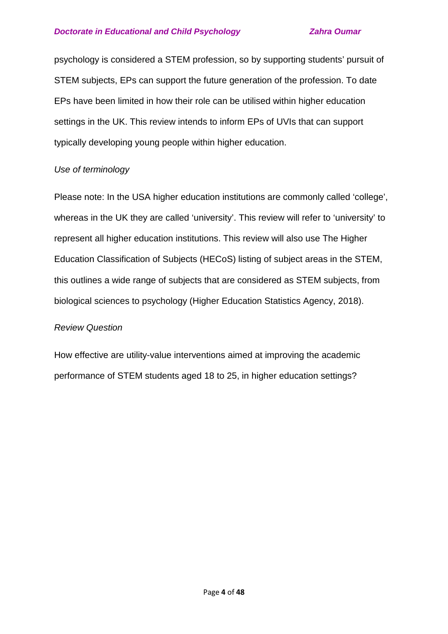psychology is considered a STEM profession, so by supporting students' pursuit of STEM subjects, EPs can support the future generation of the profession. To date EPs have been limited in how their role can be utilised within higher education settings in the UK. This review intends to inform EPs of UVIs that can support typically developing young people within higher education.

## *Use of terminology*

Please note: In the USA higher education institutions are commonly called 'college', whereas in the UK they are called 'university'. This review will refer to 'university' to represent all higher education institutions. This review will also use The Higher Education Classification of Subjects (HECoS) listing of subject areas in the STEM, this outlines a wide range of subjects that are considered as STEM subjects, from biological sciences to psychology (Higher Education Statistics Agency, 2018).

## *Review Question*

How effective are utility-value interventions aimed at improving the academic performance of STEM students aged 18 to 25, in higher education settings?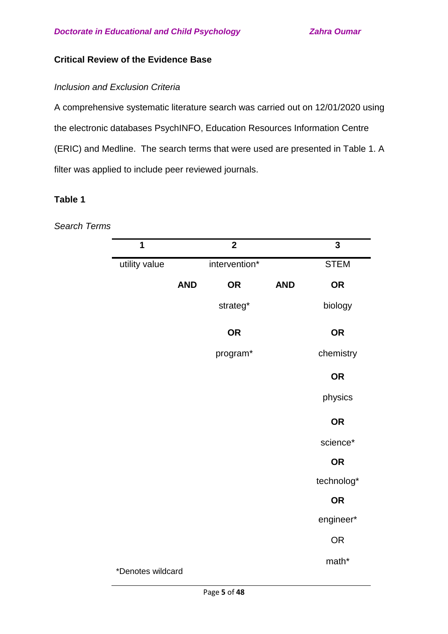## **Critical Review of the Evidence Base**

## *Inclusion and Exclusion Criteria*

A comprehensive systematic literature search was carried out on 12/01/2020 using the electronic databases PsychINFO, Education Resources Information Centre (ERIC) and Medline. The search terms that were used are presented in Table 1. A filter was applied to include peer reviewed journals.

## **Table 1**

*Search Terms* 

| $\overline{1}$    |            | $\overline{2}$ |            | $\overline{\mathbf{3}}$ |
|-------------------|------------|----------------|------------|-------------------------|
| utility value     |            | intervention*  |            | <b>STEM</b>             |
|                   | <b>AND</b> | <b>OR</b>      | <b>AND</b> | <b>OR</b>               |
|                   |            | strateg*       |            | biology                 |
|                   |            | <b>OR</b>      |            | <b>OR</b>               |
|                   |            | program*       |            | chemistry               |
|                   |            |                |            | <b>OR</b>               |
|                   |            |                |            | physics                 |
|                   |            |                |            | <b>OR</b>               |
|                   |            |                |            | science*                |
|                   |            |                |            | <b>OR</b>               |
|                   |            |                |            | technolog*              |
|                   |            |                |            | <b>OR</b>               |
|                   |            |                |            | engineer*               |
|                   |            |                |            | <b>OR</b>               |
| *Denotes wildcard |            |                |            | math*                   |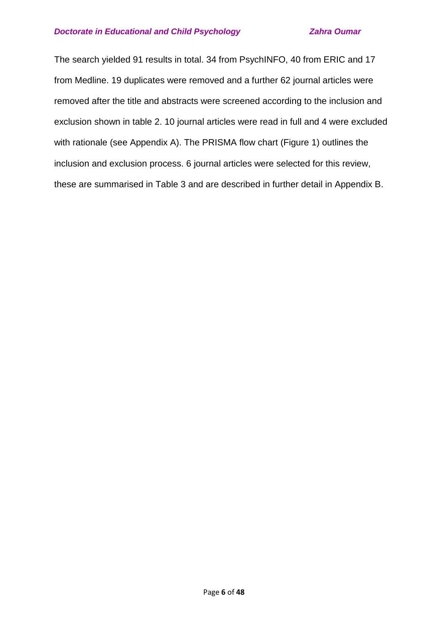The search yielded 91 results in total. 34 from PsychINFO, 40 from ERIC and 17 from Medline. 19 duplicates were removed and a further 62 journal articles were removed after the title and abstracts were screened according to the inclusion and exclusion shown in table 2. 10 journal articles were read in full and 4 were excluded with rationale (see Appendix A). The PRISMA flow chart (Figure 1) outlines the inclusion and exclusion process. 6 journal articles were selected for this review, these are summarised in Table 3 and are described in further detail in Appendix B.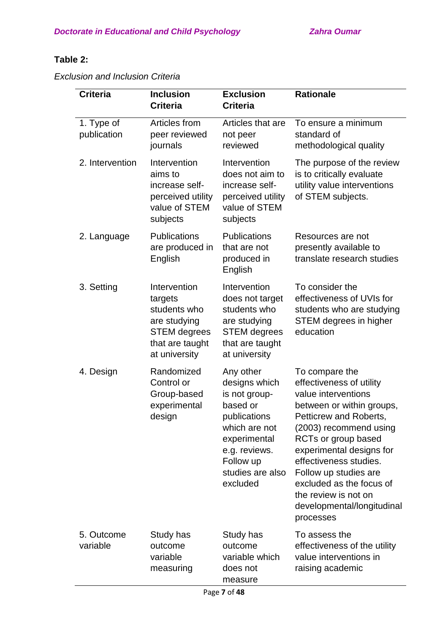# **Table 2:**

*Exclusion and Inclusion Criteria* 

| <b>Criteria</b>           | <b>Inclusion</b><br><b>Criteria</b>                                                                                | <b>Exclusion</b><br><b>Criteria</b>                                                                                                                                    | <b>Rationale</b>                                                                                                                                                                                                                                                                                                                                        |
|---------------------------|--------------------------------------------------------------------------------------------------------------------|------------------------------------------------------------------------------------------------------------------------------------------------------------------------|---------------------------------------------------------------------------------------------------------------------------------------------------------------------------------------------------------------------------------------------------------------------------------------------------------------------------------------------------------|
| 1. Type of<br>publication | Articles from<br>peer reviewed<br>journals                                                                         | Articles that are<br>not peer<br>reviewed                                                                                                                              | To ensure a minimum<br>standard of<br>methodological quality                                                                                                                                                                                                                                                                                            |
| 2. Intervention           | Intervention<br>aims to<br>increase self-<br>perceived utility<br>value of STEM<br>subjects                        | Intervention<br>does not aim to<br>increase self-<br>perceived utility<br>value of STEM<br>subjects                                                                    | The purpose of the review<br>is to critically evaluate<br>utility value interventions<br>of STEM subjects.                                                                                                                                                                                                                                              |
| 2. Language               | <b>Publications</b><br>are produced in<br>English                                                                  | <b>Publications</b><br>that are not<br>produced in<br>English                                                                                                          | Resources are not<br>presently available to<br>translate research studies                                                                                                                                                                                                                                                                               |
| 3. Setting                | Intervention<br>targets<br>students who<br>are studying<br><b>STEM</b> degrees<br>that are taught<br>at university | Intervention<br>does not target<br>students who<br>are studying<br><b>STEM</b> degrees<br>that are taught<br>at university                                             | To consider the<br>effectiveness of UVIs for<br>students who are studying<br>STEM degrees in higher<br>education                                                                                                                                                                                                                                        |
| 4. Design                 | Randomized<br>Control or<br>Group-based<br>experimental<br>design                                                  | Any other<br>designs which<br>is not group-<br>based or<br>publications<br>which are not<br>experimental<br>e.g. reviews.<br>Follow up<br>studies are also<br>excluded | To compare the<br>effectiveness of utility<br>value interventions<br>between or within groups,<br>Petticrew and Roberts,<br>(2003) recommend using<br>RCTs or group based<br>experimental designs for<br>effectiveness studies.<br>Follow up studies are<br>excluded as the focus of<br>the review is not on<br>developmental/longitudinal<br>processes |
| 5. Outcome<br>variable    | Study has<br>outcome<br>variable<br>measuring                                                                      | Study has<br>outcome<br>variable which<br>does not<br>measure                                                                                                          | To assess the<br>effectiveness of the utility<br>value interventions in<br>raising academic                                                                                                                                                                                                                                                             |
|                           |                                                                                                                    | Page 7 of 48                                                                                                                                                           |                                                                                                                                                                                                                                                                                                                                                         |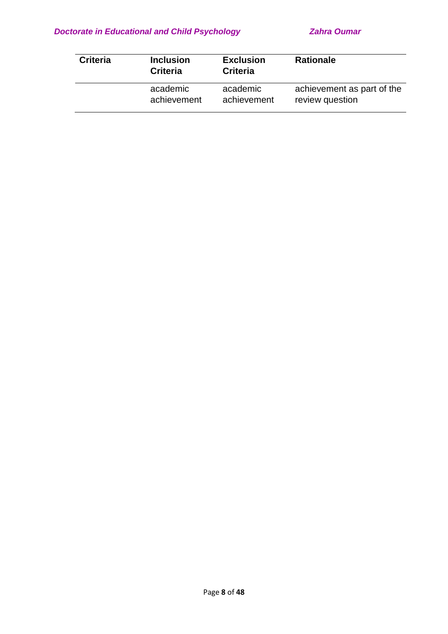| <b>Criteria</b> | <b>Inclusion</b><br><b>Criteria</b> | <b>Exclusion</b><br><b>Criteria</b> | <b>Rationale</b>           |
|-----------------|-------------------------------------|-------------------------------------|----------------------------|
|                 | academic                            | academic                            | achievement as part of the |
|                 | achievement                         | achievement                         | review question            |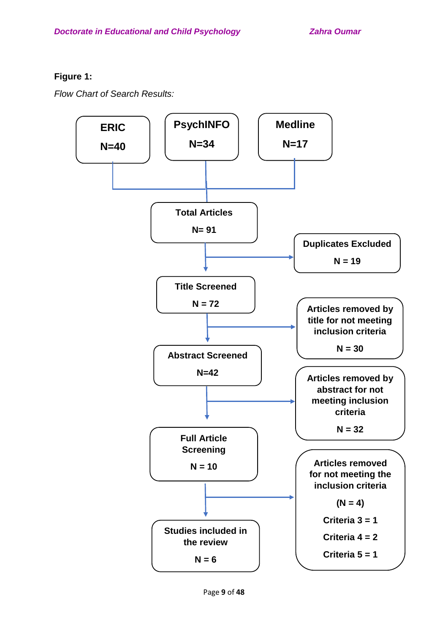## **Figure 1:**

*Flow Chart of Search Results:* 

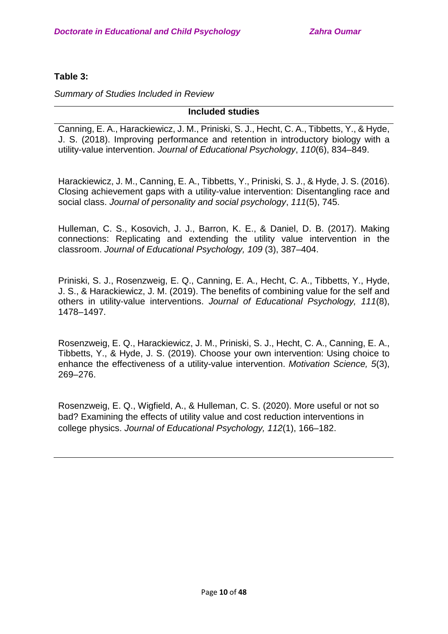## **Table 3:**

*Summary of Studies Included in Review* 

## **Included studies**

Canning, E. A., Harackiewicz, J. M., Priniski, S. J., Hecht, C. A., Tibbetts, Y., & Hyde, J. S. (2018). Improving performance and retention in introductory biology with a utility-value intervention. *Journal of Educational Psychology*, *110*(6), 834–849.

Harackiewicz, J. M., Canning, E. A., Tibbetts, Y., Priniski, S. J., & Hyde, J. S. (2016). Closing achievement gaps with a utility-value intervention: Disentangling race and social class. *Journal of personality and social psychology*, *111*(5), 745.

Hulleman, C. S., Kosovich, J. J., Barron, K. E., & Daniel, D. B. (2017). Making connections: Replicating and extending the utility value intervention in the classroom. *Journal of Educational Psychology, 109* (3), 387–404.

Priniski, S. J., Rosenzweig, E. Q., Canning, E. A., Hecht, C. A., Tibbetts, Y., Hyde, J. S., & Harackiewicz, J. M. (2019). The benefits of combining value for the self and others in utility-value interventions. *Journal of Educational Psychology, 111*(8), 1478–1497.

Rosenzweig, E. Q., Harackiewicz, J. M., Priniski, S. J., Hecht, C. A., Canning, E. A., Tibbetts, Y., & Hyde, J. S. (2019). Choose your own intervention: Using choice to enhance the effectiveness of a utility-value intervention. *Motivation Science, 5*(3), 269–276.

Rosenzweig, E. Q., Wigfield, A., & Hulleman, C. S. (2020). More useful or not so bad? Examining the effects of utility value and cost reduction interventions in college physics. *Journal of Educational Psychology, 112*(1), 166–182.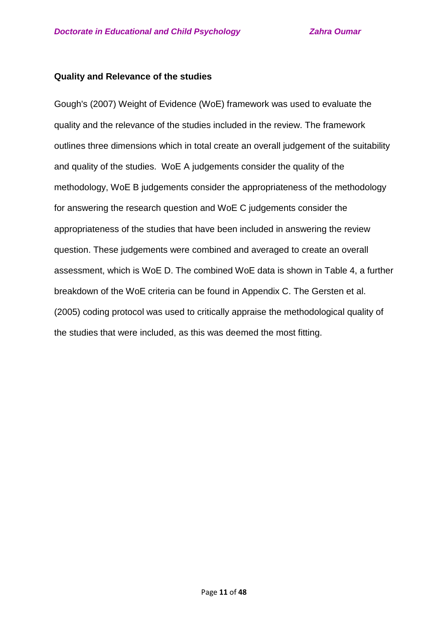## **Quality and Relevance of the studies**

Gough's (2007) Weight of Evidence (WoE) framework was used to evaluate the quality and the relevance of the studies included in the review. The framework outlines three dimensions which in total create an overall judgement of the suitability and quality of the studies. WoE A judgements consider the quality of the methodology, WoE B judgements consider the appropriateness of the methodology for answering the research question and WoE C judgements consider the appropriateness of the studies that have been included in answering the review question. These judgements were combined and averaged to create an overall assessment, which is WoE D. The combined WoE data is shown in Table 4, a further breakdown of the WoE criteria can be found in Appendix C. The Gersten et al. (2005) coding protocol was used to critically appraise the methodological quality of the studies that were included, as this was deemed the most fitting.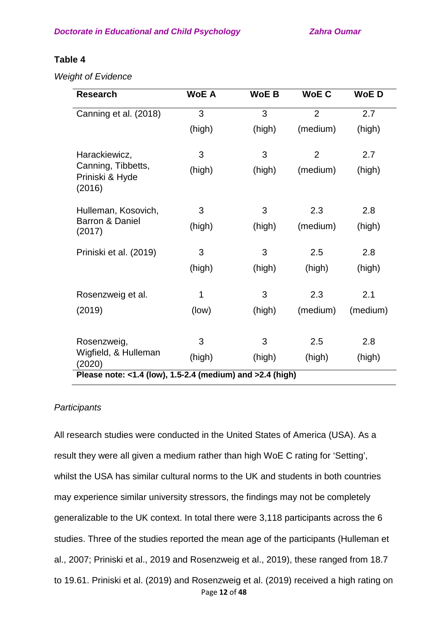## **Table 4**

*Weight of Evidence*

| <b>Research</b>                                           | <b>WoE A</b> | <b>WoEB</b> | <b>WoEC</b>    | <b>WoED</b> |
|-----------------------------------------------------------|--------------|-------------|----------------|-------------|
| Canning et al. (2018)                                     | 3            | 3           | $\overline{2}$ | 2.7         |
|                                                           | (high)       | (high)      | (medium)       | (high)      |
| Harackiewicz,                                             | 3            | 3           | $\overline{2}$ | 2.7         |
| Canning, Tibbetts,<br>Priniski & Hyde<br>(2016)           | (high)       | (high)      | (medium)       | (high)      |
| Hulleman, Kosovich,                                       | 3            | 3           | 2.3            | 2.8         |
| Barron & Daniel<br>(2017)                                 | (high)       | (high)      | (medium)       | (high)      |
| Priniski et al. (2019)                                    | 3            | 3           | 2.5            | 2.8         |
|                                                           | (high)       | (high)      | (high)         | (high)      |
| Rosenzweig et al.                                         | 1            | 3           | 2.3            | 2.1         |
| (2019)                                                    | (low)        | (high)      | (medium)       | (medium)    |
| Rosenzweig,                                               | 3            | 3           | 2.5            | 2.8         |
| Wigfield, & Hulleman<br>(2020)                            | (high)       | (high)      | (high)         | (high)      |
| Please note: <1.4 (low), 1.5-2.4 (medium) and >2.4 (high) |              |             |                |             |

## *Participants*

Page **12** of **48** All research studies were conducted in the United States of America (USA). As a result they were all given a medium rather than high WoE C rating for 'Setting', whilst the USA has similar cultural norms to the UK and students in both countries may experience similar university stressors, the findings may not be completely generalizable to the UK context. In total there were 3,118 participants across the 6 studies. Three of the studies reported the mean age of the participants (Hulleman et al., 2007; Priniski et al., 2019 and Rosenzweig et al., 2019), these ranged from 18.7 to 19.61. Priniski et al. (2019) and Rosenzweig et al. (2019) received a high rating on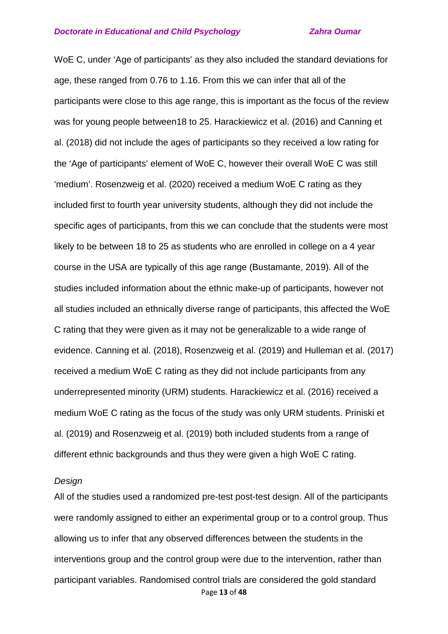WoE C, under 'Age of participants' as they also included the standard deviations for age, these ranged from 0.76 to 1.16. From this we can infer that all of the participants were close to this age range, this is important as the focus of the review was for young people between18 to 25. Harackiewicz et al. (2016) and Canning et al. (2018) did not include the ages of participants so they received a low rating for the 'Age of participants' element of WoE C, however their overall WoE C was still 'medium'. Rosenzweig et al. (2020) received a medium WoE C rating as they included first to fourth year university students, although they did not include the specific ages of participants, from this we can conclude that the students were most likely to be between 18 to 25 as students who are enrolled in college on a 4 year course in the USA are typically of this age range (Bustamante, 2019). All of the studies included information about the ethnic make-up of participants, however not all studies included an ethnically diverse range of participants, this affected the WoE C rating that they were given as it may not be generalizable to a wide range of evidence. Canning et al. (2018), Rosenzweig et al. (2019) and Hulleman et al. (2017) received a medium WoE C rating as they did not include participants from any underrepresented minority (URM) students. Harackiewicz et al. (2016) received a medium WoE C rating as the focus of the study was only URM students. Priniski et al. (2019) and Rosenzweig et al. (2019) both included students from a range of different ethnic backgrounds and thus they were given a high WoE C rating.

### *Design*

Page **13** of **48** All of the studies used a randomized pre-test post-test design. All of the participants were randomly assigned to either an experimental group or to a control group. Thus allowing us to infer that any observed differences between the students in the interventions group and the control group were due to the intervention, rather than participant variables. Randomised control trials are considered the gold standard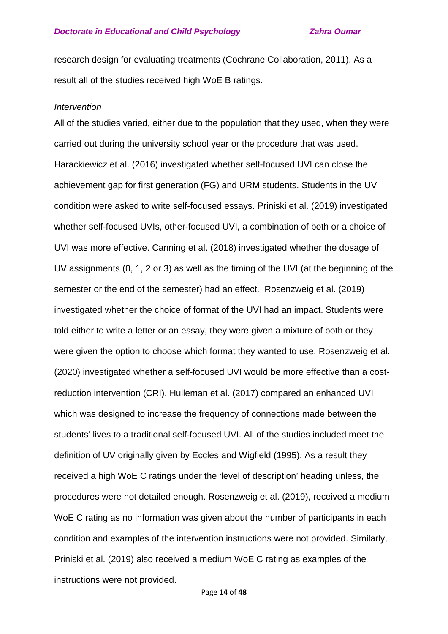research design for evaluating treatments (Cochrane Collaboration, 2011). As a result all of the studies received high WoE B ratings.

### *Intervention*

All of the studies varied, either due to the population that they used, when they were carried out during the university school year or the procedure that was used. Harackiewicz et al. (2016) investigated whether self-focused UVI can close the achievement gap for first generation (FG) and URM students. Students in the UV condition were asked to write self-focused essays. Priniski et al. (2019) investigated whether self-focused UVIs, other-focused UVI, a combination of both or a choice of UVI was more effective. Canning et al. (2018) investigated whether the dosage of UV assignments (0, 1, 2 or 3) as well as the timing of the UVI (at the beginning of the semester or the end of the semester) had an effect. Rosenzweig et al. (2019) investigated whether the choice of format of the UVI had an impact. Students were told either to write a letter or an essay, they were given a mixture of both or they were given the option to choose which format they wanted to use. Rosenzweig et al. (2020) investigated whether a self-focused UVI would be more effective than a costreduction intervention (CRI). Hulleman et al. (2017) compared an enhanced UVI which was designed to increase the frequency of connections made between the students' lives to a traditional self-focused UVI. All of the studies included meet the definition of UV originally given by Eccles and Wigfield (1995). As a result they received a high WoE C ratings under the 'level of description' heading unless, the procedures were not detailed enough. Rosenzweig et al. (2019), received a medium WoE C rating as no information was given about the number of participants in each condition and examples of the intervention instructions were not provided. Similarly, Priniski et al. (2019) also received a medium WoE C rating as examples of the instructions were not provided.

Page **14** of **48**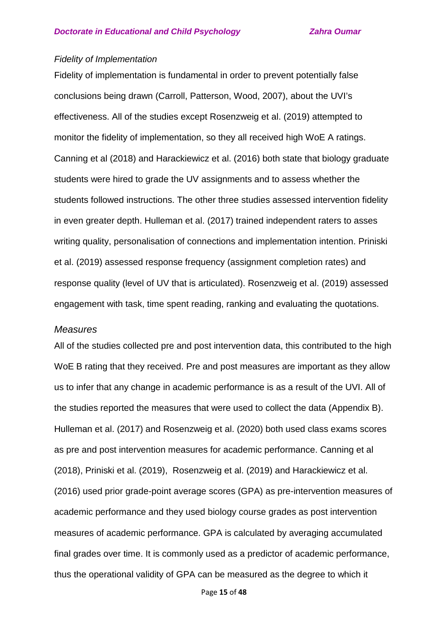### *Fidelity of Implementation*

Fidelity of implementation is fundamental in order to prevent potentially false conclusions being drawn (Carroll, Patterson, Wood, 2007), about the UVI's effectiveness. All of the studies except Rosenzweig et al. (2019) attempted to monitor the fidelity of implementation, so they all received high WoE A ratings. Canning et al (2018) and Harackiewicz et al. (2016) both state that biology graduate students were hired to grade the UV assignments and to assess whether the students followed instructions. The other three studies assessed intervention fidelity in even greater depth. Hulleman et al. (2017) trained independent raters to asses writing quality, personalisation of connections and implementation intention. Priniski et al. (2019) assessed response frequency (assignment completion rates) and response quality (level of UV that is articulated). Rosenzweig et al. (2019) assessed engagement with task, time spent reading, ranking and evaluating the quotations.

### *Measures*

All of the studies collected pre and post intervention data, this contributed to the high WoE B rating that they received. Pre and post measures are important as they allow us to infer that any change in academic performance is as a result of the UVI. All of the studies reported the measures that were used to collect the data (Appendix B). Hulleman et al. (2017) and Rosenzweig et al. (2020) both used class exams scores as pre and post intervention measures for academic performance. Canning et al (2018), Priniski et al. (2019), Rosenzweig et al. (2019) and Harackiewicz et al. (2016) used prior grade-point average scores (GPA) as pre-intervention measures of academic performance and they used biology course grades as post intervention measures of academic performance. GPA is calculated by averaging accumulated final grades over time. It is commonly used as a predictor of academic performance, thus the operational validity of GPA can be measured as the degree to which it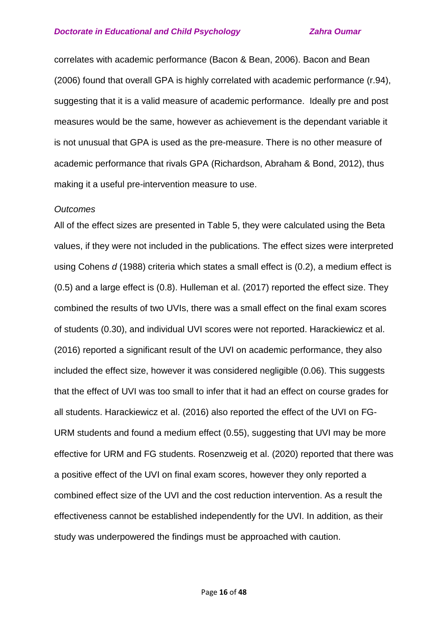correlates with academic performance (Bacon & Bean, 2006). Bacon and Bean (2006) found that overall GPA is highly correlated with academic performance (r.94), suggesting that it is a valid measure of academic performance. Ideally pre and post measures would be the same, however as achievement is the dependant variable it is not unusual that GPA is used as the pre-measure. There is no other measure of academic performance that rivals GPA (Richardson, Abraham & Bond, 2012), thus making it a useful pre-intervention measure to use.

### *Outcomes*

All of the effect sizes are presented in Table 5, they were calculated using the Beta values, if they were not included in the publications. The effect sizes were interpreted using Cohens *d* (1988) criteria which states a small effect is (0.2), a medium effect is (0.5) and a large effect is (0.8). Hulleman et al. (2017) reported the effect size. They combined the results of two UVIs, there was a small effect on the final exam scores of students (0.30), and individual UVI scores were not reported. Harackiewicz et al. (2016) reported a significant result of the UVI on academic performance, they also included the effect size, however it was considered negligible (0.06). This suggests that the effect of UVI was too small to infer that it had an effect on course grades for all students. Harackiewicz et al. (2016) also reported the effect of the UVI on FG-URM students and found a medium effect (0.55), suggesting that UVI may be more effective for URM and FG students. Rosenzweig et al. (2020) reported that there was a positive effect of the UVI on final exam scores, however they only reported a combined effect size of the UVI and the cost reduction intervention. As a result the effectiveness cannot be established independently for the UVI. In addition, as their study was underpowered the findings must be approached with caution.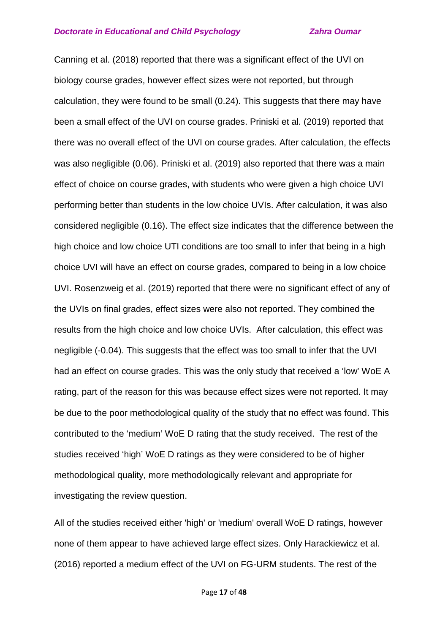Canning et al. (2018) reported that there was a significant effect of the UVI on biology course grades, however effect sizes were not reported, but through calculation, they were found to be small (0.24). This suggests that there may have been a small effect of the UVI on course grades. Priniski et al. (2019) reported that there was no overall effect of the UVI on course grades. After calculation, the effects was also negligible (0.06). Priniski et al. (2019) also reported that there was a main effect of choice on course grades, with students who were given a high choice UVI performing better than students in the low choice UVIs. After calculation, it was also considered negligible (0.16). The effect size indicates that the difference between the high choice and low choice UTI conditions are too small to infer that being in a high choice UVI will have an effect on course grades, compared to being in a low choice UVI. Rosenzweig et al. (2019) reported that there were no significant effect of any of the UVIs on final grades, effect sizes were also not reported. They combined the results from the high choice and low choice UVIs. After calculation, this effect was negligible (-0.04). This suggests that the effect was too small to infer that the UVI had an effect on course grades. This was the only study that received a 'low' WoE A rating, part of the reason for this was because effect sizes were not reported. It may be due to the poor methodological quality of the study that no effect was found. This contributed to the 'medium' WoE D rating that the study received. The rest of the studies received 'high' WoE D ratings as they were considered to be of higher methodological quality, more methodologically relevant and appropriate for investigating the review question.

All of the studies received either 'high' or 'medium' overall WoE D ratings, however none of them appear to have achieved large effect sizes. Only Harackiewicz et al. (2016) reported a medium effect of the UVI on FG-URM students. The rest of the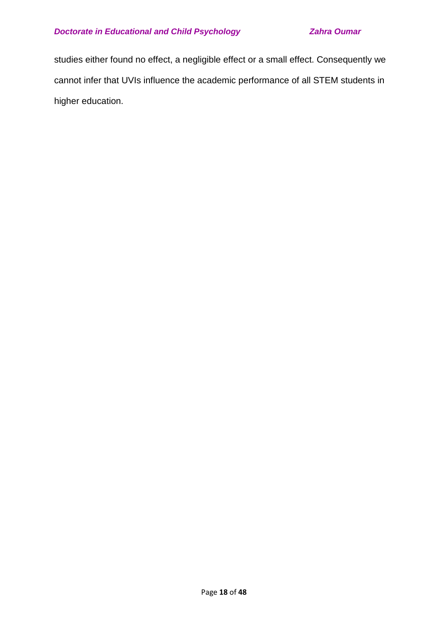studies either found no effect, a negligible effect or a small effect. Consequently we cannot infer that UVIs influence the academic performance of all STEM students in higher education.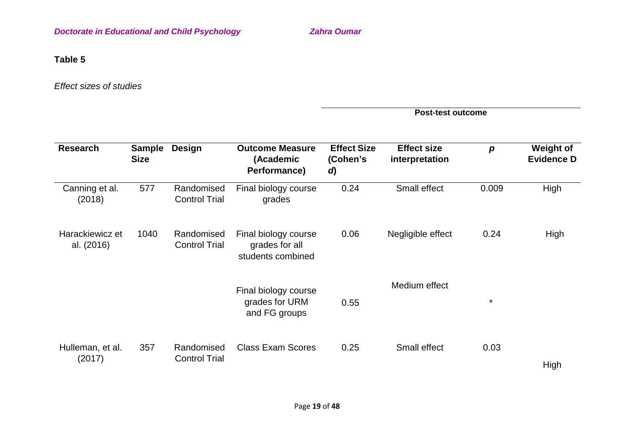## **Table 5**

*Effect sizes of studies* 

|                               |                              |                                    | <b>Post-test outcome</b>                                    |                                      |                                      |                  |                                       |  |
|-------------------------------|------------------------------|------------------------------------|-------------------------------------------------------------|--------------------------------------|--------------------------------------|------------------|---------------------------------------|--|
| <b>Research</b>               | <b>Sample</b><br><b>Size</b> | <b>Design</b>                      | <b>Outcome Measure</b><br>(Academic<br>Performance)         | <b>Effect Size</b><br>(Cohen's<br>d) | <b>Effect size</b><br>interpretation | $\boldsymbol{p}$ | <b>Weight of</b><br><b>Evidence D</b> |  |
| Canning et al.<br>(2018)      | 577                          | Randomised<br><b>Control Trial</b> | Final biology course<br>grades                              | 0.24                                 | Small effect                         | 0.009            | High                                  |  |
| Harackiewicz et<br>al. (2016) | 1040                         | Randomised<br><b>Control Trial</b> | Final biology course<br>grades for all<br>students combined | 0.06                                 | Negligible effect                    | 0.24             | High                                  |  |
|                               |                              |                                    | Final biology course<br>grades for URM<br>and FG groups     | 0.55                                 | Medium effect                        | $\star$          |                                       |  |
| Hulleman, et al.<br>(2017)    | 357                          | Randomised<br><b>Control Trial</b> | <b>Class Exam Scores</b>                                    | 0.25                                 | Small effect                         | 0.03             | High                                  |  |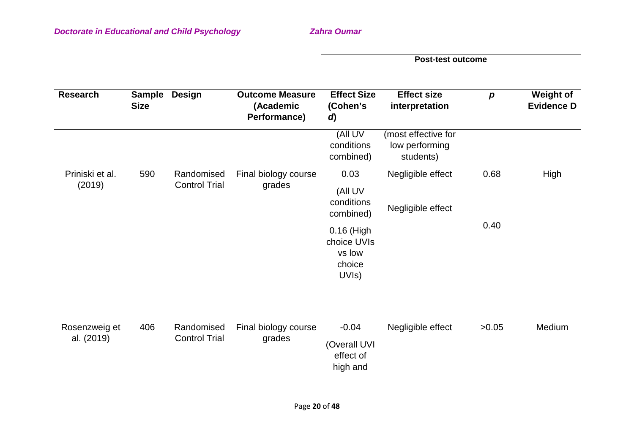**Post-test outcome**

| <b>Research</b>             | <b>Sample</b><br><b>Size</b> | <b>Design</b>        | <b>Outcome Measure</b><br>(Academic<br>Performance) | <b>Effect Size</b><br>(Cohen's<br>d)                   | <b>Effect size</b><br>interpretation               | $\boldsymbol{p}$ | <b>Weight of</b><br><b>Evidence D</b> |
|-----------------------------|------------------------------|----------------------|-----------------------------------------------------|--------------------------------------------------------|----------------------------------------------------|------------------|---------------------------------------|
|                             |                              |                      |                                                     | (All UV<br>conditions<br>combined)                     | (most effective for<br>low performing<br>students) |                  |                                       |
| Priniski et al.             | 590                          | Randomised           | Final biology course                                | 0.03                                                   | Negligible effect                                  | 0.68             | High                                  |
| (2019)                      |                              | <b>Control Trial</b> | grades                                              | (All UV<br>conditions<br>combined)                     | Negligible effect                                  |                  |                                       |
|                             |                              |                      |                                                     | 0.16 (High<br>choice UVIs<br>vs low<br>choice<br>UVIs) | 0.40                                               |                  |                                       |
| Rosenzweig et<br>al. (2019) | 406                          | Randomised           | Final biology course                                | $-0.04$                                                | Negligible effect                                  | >0.05            | Medium                                |
|                             |                              | <b>Control Trial</b> | grades                                              | (Overall UVI<br>effect of<br>high and                  |                                                    |                  |                                       |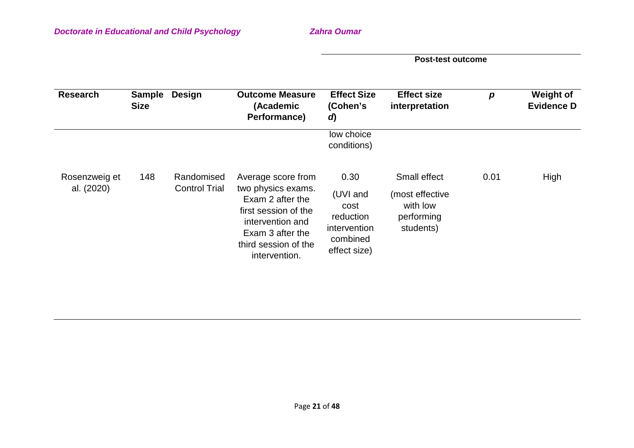**Post-test outcome**

| <b>Research</b>             | <b>Sample</b><br><b>Size</b> | <b>Design</b>                      | <b>Outcome Measure</b><br>(Academic<br>Performance)                                                                                                                   | <b>Effect Size</b><br>(Cohen's<br>d)                                              | <b>Effect size</b><br>interpretation                                   | p    | <b>Weight of</b><br><b>Evidence D</b> |
|-----------------------------|------------------------------|------------------------------------|-----------------------------------------------------------------------------------------------------------------------------------------------------------------------|-----------------------------------------------------------------------------------|------------------------------------------------------------------------|------|---------------------------------------|
|                             |                              |                                    |                                                                                                                                                                       | low choice<br>conditions)                                                         |                                                                        |      |                                       |
| Rosenzweig et<br>al. (2020) | 148                          | Randomised<br><b>Control Trial</b> | Average score from<br>two physics exams.<br>Exam 2 after the<br>first session of the<br>intervention and<br>Exam 3 after the<br>third session of the<br>intervention. | 0.30<br>(UVI and<br>cost<br>reduction<br>intervention<br>combined<br>effect size) | Small effect<br>(most effective<br>with low<br>performing<br>students) | 0.01 | High                                  |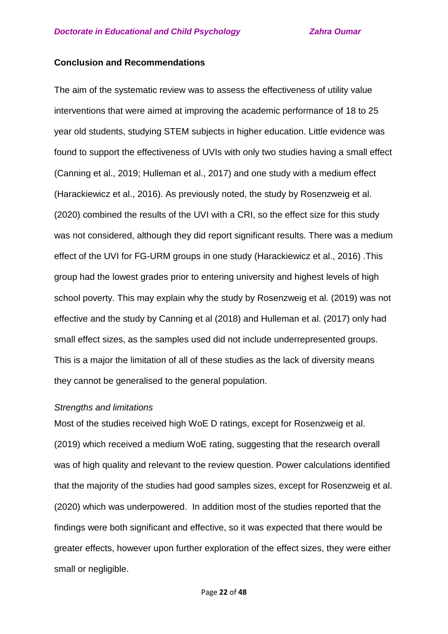## **Conclusion and Recommendations**

The aim of the systematic review was to assess the effectiveness of utility value interventions that were aimed at improving the academic performance of 18 to 25 year old students, studying STEM subjects in higher education. Little evidence was found to support the effectiveness of UVIs with only two studies having a small effect (Canning et al., 2019; Hulleman et al., 2017) and one study with a medium effect (Harackiewicz et al., 2016). As previously noted, the study by Rosenzweig et al. (2020) combined the results of the UVI with a CRI, so the effect size for this study was not considered, although they did report significant results. There was a medium effect of the UVI for FG-URM groups in one study (Harackiewicz et al., 2016) .This group had the lowest grades prior to entering university and highest levels of high school poverty. This may explain why the study by Rosenzweig et al. (2019) was not effective and the study by Canning et al (2018) and Hulleman et al. (2017) only had small effect sizes, as the samples used did not include underrepresented groups. This is a major the limitation of all of these studies as the lack of diversity means they cannot be generalised to the general population.

### *Strengths and limitations*

Most of the studies received high WoE D ratings, except for Rosenzweig et al. (2019) which received a medium WoE rating, suggesting that the research overall was of high quality and relevant to the review question. Power calculations identified that the majority of the studies had good samples sizes, except for Rosenzweig et al. (2020) which was underpowered. In addition most of the studies reported that the findings were both significant and effective, so it was expected that there would be greater effects, however upon further exploration of the effect sizes, they were either small or negligible.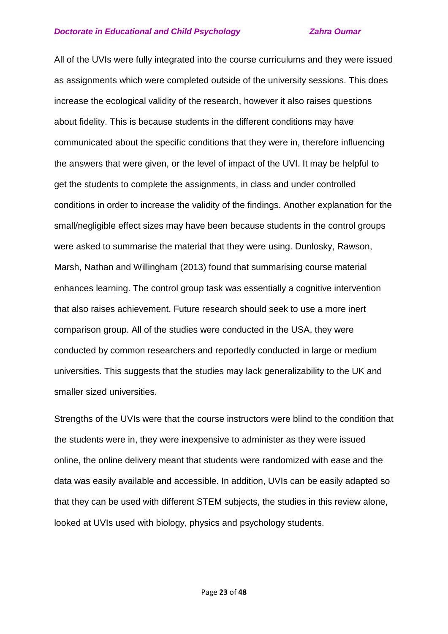All of the UVIs were fully integrated into the course curriculums and they were issued as assignments which were completed outside of the university sessions. This does increase the ecological validity of the research, however it also raises questions about fidelity. This is because students in the different conditions may have communicated about the specific conditions that they were in, therefore influencing the answers that were given, or the level of impact of the UVI. It may be helpful to get the students to complete the assignments, in class and under controlled conditions in order to increase the validity of the findings. Another explanation for the small/negligible effect sizes may have been because students in the control groups were asked to summarise the material that they were using. Dunlosky, Rawson, Marsh, Nathan and Willingham (2013) found that summarising course material enhances learning. The control group task was essentially a cognitive intervention that also raises achievement. Future research should seek to use a more inert comparison group. All of the studies were conducted in the USA, they were conducted by common researchers and reportedly conducted in large or medium universities. This suggests that the studies may lack generalizability to the UK and smaller sized universities.

Strengths of the UVIs were that the course instructors were blind to the condition that the students were in, they were inexpensive to administer as they were issued online, the online delivery meant that students were randomized with ease and the data was easily available and accessible. In addition, UVIs can be easily adapted so that they can be used with different STEM subjects, the studies in this review alone, looked at UVIs used with biology, physics and psychology students.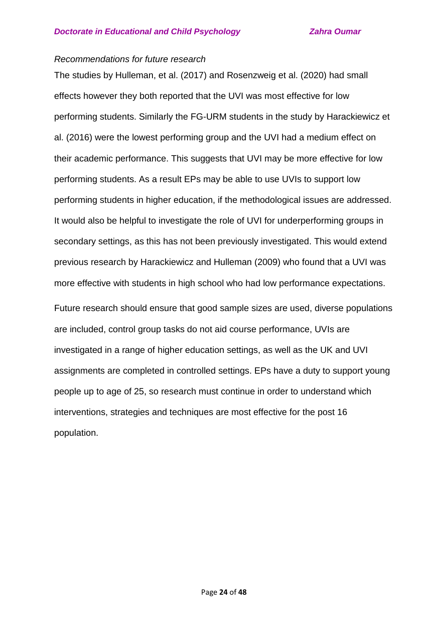## *Recommendations for future research*

The studies by Hulleman, et al. (2017) and Rosenzweig et al. (2020) had small effects however they both reported that the UVI was most effective for low performing students. Similarly the FG-URM students in the study by Harackiewicz et al. (2016) were the lowest performing group and the UVI had a medium effect on their academic performance. This suggests that UVI may be more effective for low performing students. As a result EPs may be able to use UVIs to support low performing students in higher education, if the methodological issues are addressed. It would also be helpful to investigate the role of UVI for underperforming groups in secondary settings, as this has not been previously investigated. This would extend previous research by Harackiewicz and Hulleman (2009) who found that a UVI was more effective with students in high school who had low performance expectations.

Future research should ensure that good sample sizes are used, diverse populations are included, control group tasks do not aid course performance, UVIs are investigated in a range of higher education settings, as well as the UK and UVI assignments are completed in controlled settings. EPs have a duty to support young people up to age of 25, so research must continue in order to understand which interventions, strategies and techniques are most effective for the post 16 population.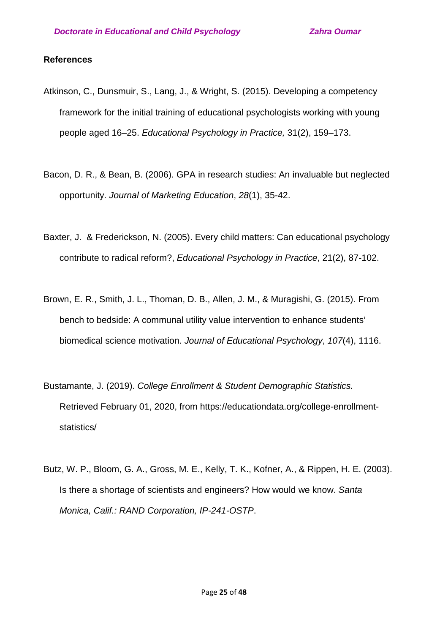### **References**

- Atkinson, C., Dunsmuir, S., Lang, J., & Wright, S. (2015). Developing a competency framework for the initial training of educational psychologists working with young people aged 16–25. *Educational Psychology in Practice,* 31(2), 159–173.
- Bacon, D. R., & Bean, B. (2006). GPA in research studies: An invaluable but neglected opportunity. *Journal of Marketing Education*, *28*(1), 35-42.
- Baxter, J. & Frederickson, N. (2005). Every child matters: Can educational psychology contribute to radical reform?, *Educational Psychology in Practice*, 21(2), 87-102.
- Brown, E. R., Smith, J. L., Thoman, D. B., Allen, J. M., & Muragishi, G. (2015). From bench to bedside: A communal utility value intervention to enhance students' biomedical science motivation. *Journal of Educational Psychology*, *107*(4), 1116.
- Bustamante, J. (2019). *College Enrollment & Student Demographic Statistics.*  Retrieved February 01, 2020, from https://educationdata.org/college-enrollmentstatistics/
- Butz, W. P., Bloom, G. A., Gross, M. E., Kelly, T. K., Kofner, A., & Rippen, H. E. (2003). Is there a shortage of scientists and engineers? How would we know. *Santa Monica, Calif.: RAND Corporation, IP-241-OSTP*.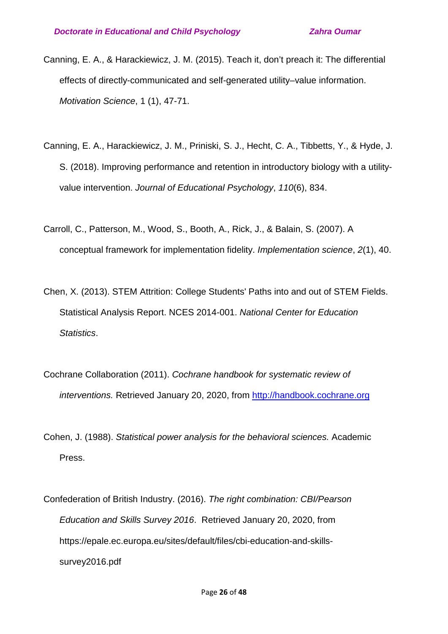- Canning, E. A., & Harackiewicz, J. M. (2015). Teach it, don't preach it: The differential effects of directly-communicated and self-generated utility–value information. *Motivation Science*, 1 (1), 47-71.
- Canning, E. A., Harackiewicz, J. M., Priniski, S. J., Hecht, C. A., Tibbetts, Y., & Hyde, J. S. (2018). Improving performance and retention in introductory biology with a utilityvalue intervention. *Journal of Educational Psychology*, *110*(6), 834.
- Carroll, C., Patterson, M., Wood, S., Booth, A., Rick, J., & Balain, S. (2007). A conceptual framework for implementation fidelity. *Implementation science*, *2*(1), 40.
- Chen, X. (2013). STEM Attrition: College Students' Paths into and out of STEM Fields. Statistical Analysis Report. NCES 2014-001. *National Center for Education Statistics*.
- Cochrane Collaboration (2011). *Cochrane handbook for systematic review of interventions.* Retrieved January 20, 2020, from [http://handbook.cochrane.org](http://handbook.cochrane.org/)
- Cohen, J. (1988). *Statistical power analysis for the behavioral sciences.* Academic Press.
- Confederation of British Industry. (2016). *The right combination: CBI/Pearson Education and Skills Survey 2016*. Retrieved January 20, 2020, from https://epale.ec.europa.eu/sites/default/files/cbi-education-and-skillssurvey2016.pdf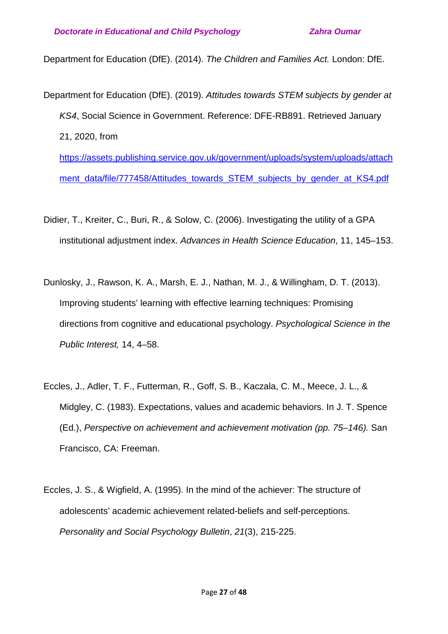Department for Education (DfE). (2014). *The Children and Families Act.* London: DfE.

- Department for Education (DfE). (2019). *Attitudes towards STEM subjects by gender at KS4*, Social Science in Government. Reference: DFE-RB891. Retrieved January 21, 2020, from [https://assets.publishing.service.gov.uk/government/uploads/system/uploads/attach](https://assets.publishing.service.gov.uk/government/uploads/system/uploads/attachment_data/file/777458/Attitudes_towards_STEM_subjects_by_gender_at_KS4.pdf)
	- ment data/file/777458/Attitudes\_towards\_STEM\_subjects\_by\_gender\_at\_KS4.pdf
- Didier, T., Kreiter, C., Buri, R., & Solow, C. (2006). Investigating the utility of a GPA institutional adjustment index. *Advances in Health Science Education*, 11, 145–153.
- Dunlosky, J., Rawson, K. A., Marsh, E. J., Nathan, M. J., & Willingham, D. T. (2013). Improving students' learning with effective learning techniques: Promising directions from cognitive and educational psychology. *Psychological Science in the Public Interest,* 14, 4–58.
- Eccles, J., Adler, T. F., Futterman, R., Goff, S. B., Kaczala, C. M., Meece, J. L., & Midgley, C. (1983). Expectations, values and academic behaviors. In J. T. Spence (Ed.), *Perspective on achievement and achievement motivation (pp. 75–146).* San Francisco, CA: Freeman.
- Eccles, J. S., & Wigfield, A. (1995). In the mind of the achiever: The structure of adolescents' academic achievement related-beliefs and self-perceptions. *Personality and Social Psychology Bulletin*, *21*(3), 215-225.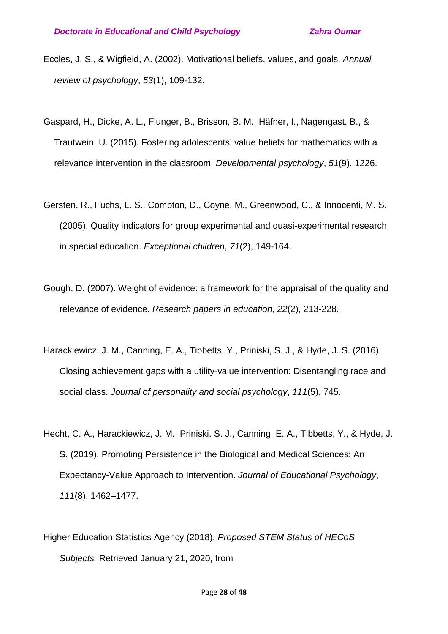- Eccles, J. S., & Wigfield, A. (2002). Motivational beliefs, values, and goals. *Annual review of psychology*, *53*(1), 109-132.
- Gaspard, H., Dicke, A. L., Flunger, B., Brisson, B. M., Häfner, I., Nagengast, B., & Trautwein, U. (2015). Fostering adolescents' value beliefs for mathematics with a relevance intervention in the classroom. *Developmental psychology*, *51*(9), 1226.
- Gersten, R., Fuchs, L. S., Compton, D., Coyne, M., Greenwood, C., & Innocenti, M. S. (2005). Quality indicators for group experimental and quasi-experimental research in special education. *Exceptional children*, *71*(2), 149-164.
- Gough, D. (2007). Weight of evidence: a framework for the appraisal of the quality and relevance of evidence. *Research papers in education*, *22*(2), 213-228.
- Harackiewicz, J. M., Canning, E. A., Tibbetts, Y., Priniski, S. J., & Hyde, J. S. (2016). Closing achievement gaps with a utility-value intervention: Disentangling race and social class. *Journal of personality and social psychology*, *111*(5), 745.
- Hecht, C. A., Harackiewicz, J. M., Priniski, S. J., Canning, E. A., Tibbetts, Y., & Hyde, J. S. (2019). Promoting Persistence in the Biological and Medical Sciences: An Expectancy-Value Approach to Intervention. *Journal of Educational Psychology*, *111*(8), 1462–1477.
- Higher Education Statistics Agency (2018). *Proposed STEM Status of HECoS Subjects.* Retrieved January 21, 2020, from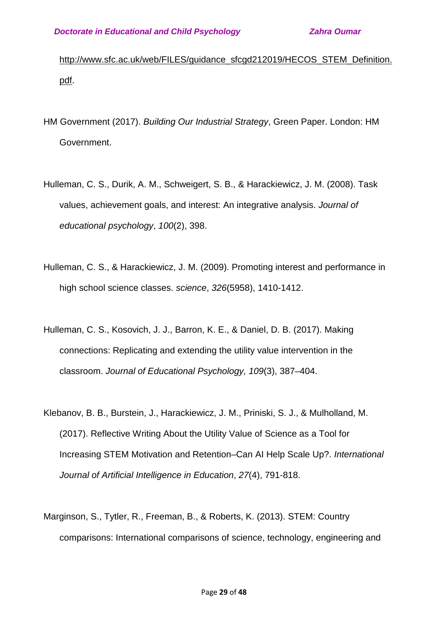[http://www.sfc.ac.uk/web/FILES/guidance\\_sfcgd212019/HECOS\\_STEM\\_Definition.](http://www.sfc.ac.uk/web/FILES/guidance_sfcgd212019/HECOS_STEM_Definition.pdf) [pdf.](http://www.sfc.ac.uk/web/FILES/guidance_sfcgd212019/HECOS_STEM_Definition.pdf)

- HM Government (2017). *Building Our Industrial Strategy*, Green Paper. London: HM Government.
- Hulleman, C. S., Durik, A. M., Schweigert, S. B., & Harackiewicz, J. M. (2008). Task values, achievement goals, and interest: An integrative analysis. *Journal of educational psychology*, *100*(2), 398.
- Hulleman, C. S., & Harackiewicz, J. M. (2009). Promoting interest and performance in high school science classes. *science*, *326*(5958), 1410-1412.
- Hulleman, C. S., Kosovich, J. J., Barron, K. E., & Daniel, D. B. (2017). Making connections: Replicating and extending the utility value intervention in the classroom. *Journal of Educational Psychology, 109*(3), 387–404.
- Klebanov, B. B., Burstein, J., Harackiewicz, J. M., Priniski, S. J., & Mulholland, M. (2017). Reflective Writing About the Utility Value of Science as a Tool for Increasing STEM Motivation and Retention–Can AI Help Scale Up?. *International Journal of Artificial Intelligence in Education*, *27*(4), 791-818.
- Marginson, S., Tytler, R., Freeman, B., & Roberts, K. (2013). STEM: Country comparisons: International comparisons of science, technology, engineering and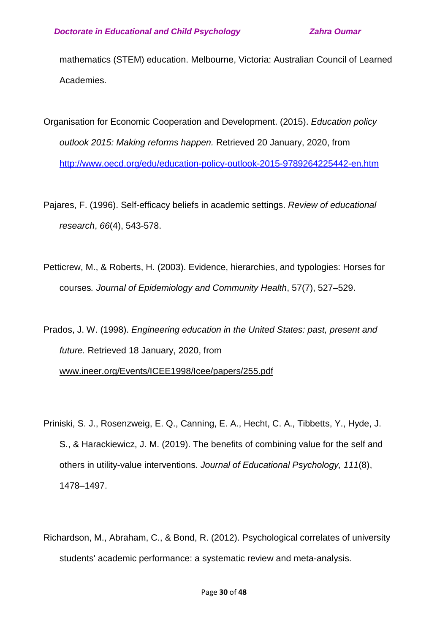mathematics (STEM) education. Melbourne, Victoria: Australian Council of Learned Academies.

- Organisation for Economic Cooperation and Development. (2015). *Education policy outlook 2015: Making reforms happen.* Retrieved 20 January, 2020, from <http://www.oecd.org/edu/education-policy-outlook-2015-9789264225442-en.htm>
- Pajares, F. (1996). Self-efficacy beliefs in academic settings. *Review of educational research*, *66*(4), 543-578.
- Petticrew, M., & Roberts, H. (2003). Evidence, hierarchies, and typologies: Horses for courses*. Journal of Epidemiology and Community Health*, 57(7), 527–529.

Prados, J. W. (1998). *Engineering education in the United States: past, present and future.* Retrieved 18 January, 2020, from [www.ineer.org/Events/ICEE1998/Icee/papers/255.pdf](http://www.ineer.org/Events/ICEE1998/Icee/papers/255.pdf)

- Priniski, S. J., Rosenzweig, E. Q., Canning, E. A., Hecht, C. A., Tibbetts, Y., Hyde, J. S., & Harackiewicz, J. M. (2019). The benefits of combining value for the self and others in utility-value interventions. *Journal of Educational Psychology, 111*(8), 1478–1497.
- Richardson, M., Abraham, C., & Bond, R. (2012). Psychological correlates of university students' academic performance: a systematic review and meta-analysis.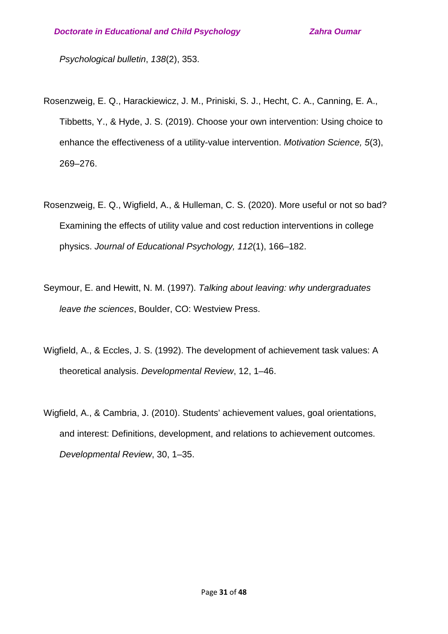*Psychological bulletin*, *138*(2), 353.

- Rosenzweig, E. Q., Harackiewicz, J. M., Priniski, S. J., Hecht, C. A., Canning, E. A., Tibbetts, Y., & Hyde, J. S. (2019). Choose your own intervention: Using choice to enhance the effectiveness of a utility-value intervention. *Motivation Science, 5*(3), 269–276.
- Rosenzweig, E. Q., Wigfield, A., & Hulleman, C. S. (2020). More useful or not so bad? Examining the effects of utility value and cost reduction interventions in college physics. *Journal of Educational Psychology, 112*(1), 166–182.
- Seymour, E. and Hewitt, N. M. (1997). *Talking about leaving: why undergraduates leave the sciences*, Boulder, CO: Westview Press.
- Wigfield, A., & Eccles, J. S. (1992). The development of achievement task values: A theoretical analysis. *Developmental Review*, 12, 1–46.
- Wigfield, A., & Cambria, J. (2010). Students' achievement values, goal orientations, and interest: Definitions, development, and relations to achievement outcomes. *Developmental Review*, 30, 1–35.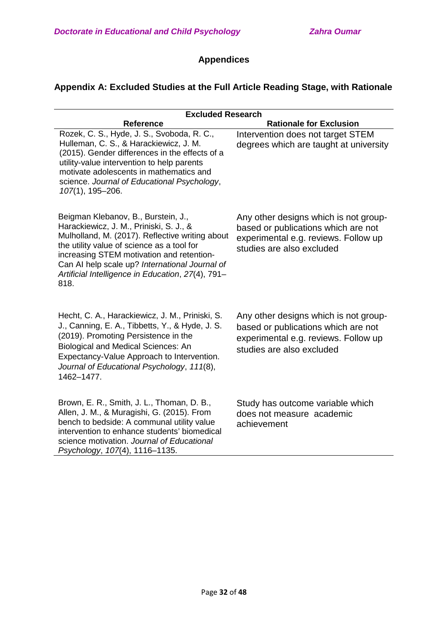# **Appendices**

## **Appendix A: Excluded Studies at the Full Article Reading Stage, with Rationale**

|                                                                                                                                                                                                                                                                                                                                             | <b>Excluded Research</b>                                                                                                                          |  |  |  |  |  |  |
|---------------------------------------------------------------------------------------------------------------------------------------------------------------------------------------------------------------------------------------------------------------------------------------------------------------------------------------------|---------------------------------------------------------------------------------------------------------------------------------------------------|--|--|--|--|--|--|
| <b>Reference</b>                                                                                                                                                                                                                                                                                                                            | <b>Rationale for Exclusion</b>                                                                                                                    |  |  |  |  |  |  |
| Rozek, C. S., Hyde, J. S., Svoboda, R. C.,<br>Hulleman, C. S., & Harackiewicz, J. M.<br>(2015). Gender differences in the effects of a<br>utility-value intervention to help parents<br>motivate adolescents in mathematics and<br>science. Journal of Educational Psychology,<br>107(1), 195-206.                                          | Intervention does not target STEM<br>degrees which are taught at university                                                                       |  |  |  |  |  |  |
| Beigman Klebanov, B., Burstein, J.,<br>Harackiewicz, J. M., Priniski, S. J., &<br>Mulholland, M. (2017). Reflective writing about<br>the utility value of science as a tool for<br>increasing STEM motivation and retention-<br>Can AI help scale up? International Journal of<br>Artificial Intelligence in Education, 27(4), 791-<br>818. | Any other designs which is not group-<br>based or publications which are not<br>experimental e.g. reviews. Follow up<br>studies are also excluded |  |  |  |  |  |  |
| Hecht, C. A., Harackiewicz, J. M., Priniski, S.<br>J., Canning, E. A., Tibbetts, Y., & Hyde, J. S.<br>(2019). Promoting Persistence in the<br><b>Biological and Medical Sciences: An</b><br>Expectancy-Value Approach to Intervention.<br>Journal of Educational Psychology, 111(8),<br>1462-1477.                                          | Any other designs which is not group-<br>based or publications which are not<br>experimental e.g. reviews. Follow up<br>studies are also excluded |  |  |  |  |  |  |
| Brown, E. R., Smith, J. L., Thoman, D. B.,<br>Allen, J. M., & Muragishi, G. (2015). From<br>bench to bedside: A communal utility value<br>intervention to enhance students' biomedical<br>science motivation. Journal of Educational<br>Psychology, 107(4), 1116-1135.                                                                      | Study has outcome variable which<br>does not measure academic<br>achievement                                                                      |  |  |  |  |  |  |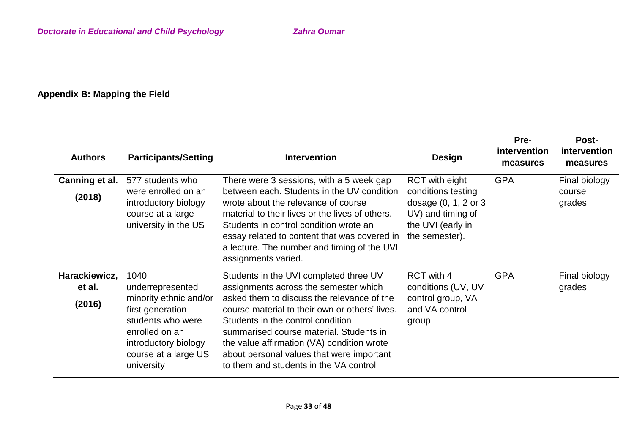# **Appendix B: Mapping the Field**

| <b>Authors</b>                    | <b>Participants/Setting</b>                                                                                                                                                 | <b>Intervention</b>                                                                                                                                                                                                                                                                                                                                                                                  | <b>Design</b>                                                                                                                       | Pre-<br><i>intervention</i><br>measures | Post-<br>intervention<br>measures |
|-----------------------------------|-----------------------------------------------------------------------------------------------------------------------------------------------------------------------------|------------------------------------------------------------------------------------------------------------------------------------------------------------------------------------------------------------------------------------------------------------------------------------------------------------------------------------------------------------------------------------------------------|-------------------------------------------------------------------------------------------------------------------------------------|-----------------------------------------|-----------------------------------|
| Canning et al.<br>(2018)          | 577 students who<br>were enrolled on an<br>introductory biology<br>course at a large<br>university in the US                                                                | There were 3 sessions, with a 5 week gap<br>between each. Students in the UV condition<br>wrote about the relevance of course<br>material to their lives or the lives of others.<br>Students in control condition wrote an<br>essay related to content that was covered in<br>a lecture. The number and timing of the UVI<br>assignments varied.                                                     | <b>RCT</b> with eight<br>conditions testing<br>dosage $(0, 1, 2$ or $3$<br>UV) and timing of<br>the UVI (early in<br>the semester). | <b>GPA</b>                              | Final biology<br>course<br>grades |
| Harackiewicz,<br>et al.<br>(2016) | 1040<br>underrepresented<br>minority ethnic and/or<br>first generation<br>students who were<br>enrolled on an<br>introductory biology<br>course at a large US<br>university | Students in the UVI completed three UV<br>assignments across the semester which<br>asked them to discuss the relevance of the<br>course material to their own or others' lives.<br>Students in the control condition<br>summarised course material. Students in<br>the value affirmation (VA) condition wrote<br>about personal values that were important<br>to them and students in the VA control | RCT with 4<br>conditions (UV, UV<br>control group, VA<br>and VA control<br>group                                                    | <b>GPA</b>                              | Final biology<br>grades           |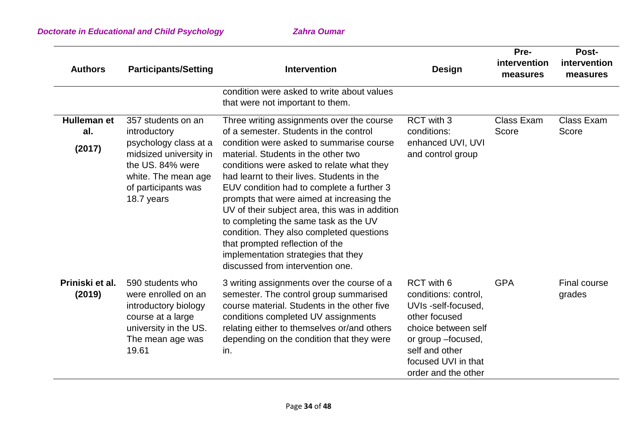| <b>Authors</b>                      | <b>Participants/Setting</b>                                                                                                                                           | <b>Intervention</b>                                                                                                                                                                                                                                                                                                                                                                                                                                                                                                                                                                                              | Design                                                                                                                                                                                  | Pre-<br>intervention<br>measures | <b>Post-</b><br>intervention<br>measures |  |
|-------------------------------------|-----------------------------------------------------------------------------------------------------------------------------------------------------------------------|------------------------------------------------------------------------------------------------------------------------------------------------------------------------------------------------------------------------------------------------------------------------------------------------------------------------------------------------------------------------------------------------------------------------------------------------------------------------------------------------------------------------------------------------------------------------------------------------------------------|-----------------------------------------------------------------------------------------------------------------------------------------------------------------------------------------|----------------------------------|------------------------------------------|--|
|                                     |                                                                                                                                                                       | condition were asked to write about values<br>that were not important to them.                                                                                                                                                                                                                                                                                                                                                                                                                                                                                                                                   |                                                                                                                                                                                         |                                  |                                          |  |
| <b>Hulleman et</b><br>al.<br>(2017) | 357 students on an<br>introductory<br>psychology class at a<br>midsized university in<br>the US. 84% were<br>white. The mean age<br>of participants was<br>18.7 years | Three writing assignments over the course<br>of a semester. Students in the control<br>condition were asked to summarise course<br>material. Students in the other two<br>conditions were asked to relate what they<br>had learnt to their lives. Students in the<br>EUV condition had to complete a further 3<br>prompts that were aimed at increasing the<br>UV of their subject area, this was in addition<br>to completing the same task as the UV<br>condition. They also completed questions<br>that prompted reflection of the<br>implementation strategies that they<br>discussed from intervention one. | RCT with 3<br>conditions:<br>enhanced UVI, UVI<br>and control group                                                                                                                     | Class Exam<br>Score              | <b>Class Exam</b><br>Score               |  |
| Priniski et al.<br>(2019)           | 590 students who<br>were enrolled on an<br>introductory biology<br>course at a large<br>university in the US.<br>The mean age was<br>19.61                            | 3 writing assignments over the course of a<br>semester. The control group summarised<br>course material. Students in the other five<br>conditions completed UV assignments<br>relating either to themselves or/and others<br>depending on the condition that they were<br>in.                                                                                                                                                                                                                                                                                                                                    | RCT with 6<br>conditions: control,<br>UVIs -self-focused.<br>other focused<br>choice between self<br>or group -focused,<br>self and other<br>focused UVI in that<br>order and the other | <b>GPA</b>                       | Final course<br>grades                   |  |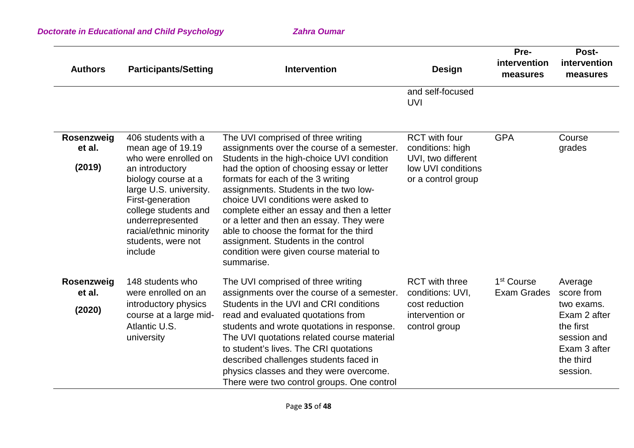| <b>Authors</b>                 | <b>Participants/Setting</b>                                                                                                                                                                                                                                     | <b>Intervention</b>                                                                                                                                                                                                                                                                                                                                                                                                                                                                                                                   | <b>Design</b>                                                                                              | Pre-<br>intervention<br>measures             | Post-<br>intervention<br>measures                                                                                        |
|--------------------------------|-----------------------------------------------------------------------------------------------------------------------------------------------------------------------------------------------------------------------------------------------------------------|---------------------------------------------------------------------------------------------------------------------------------------------------------------------------------------------------------------------------------------------------------------------------------------------------------------------------------------------------------------------------------------------------------------------------------------------------------------------------------------------------------------------------------------|------------------------------------------------------------------------------------------------------------|----------------------------------------------|--------------------------------------------------------------------------------------------------------------------------|
|                                |                                                                                                                                                                                                                                                                 |                                                                                                                                                                                                                                                                                                                                                                                                                                                                                                                                       | and self-focused<br><b>UVI</b>                                                                             |                                              |                                                                                                                          |
| Rosenzweig<br>et al.<br>(2019) | 406 students with a<br>mean age of 19.19<br>who were enrolled on<br>an introductory<br>biology course at a<br>large U.S. university.<br>First-generation<br>college students and<br>underrepresented<br>racial/ethnic minority<br>students, were not<br>include | The UVI comprised of three writing<br>assignments over the course of a semester.<br>Students in the high-choice UVI condition<br>had the option of choosing essay or letter<br>formats for each of the 3 writing<br>assignments. Students in the two low-<br>choice UVI conditions were asked to<br>complete either an essay and then a letter<br>or a letter and then an essay. They were<br>able to choose the format for the third<br>assignment. Students in the control<br>condition were given course material to<br>summarise. | <b>RCT</b> with four<br>conditions: high<br>UVI, two different<br>low UVI conditions<br>or a control group | <b>GPA</b>                                   | Course<br>grades                                                                                                         |
| Rosenzweig<br>et al.<br>(2020) | 148 students who<br>were enrolled on an<br>introductory physics<br>course at a large mid-<br>Atlantic U.S.<br>university                                                                                                                                        | The UVI comprised of three writing<br>assignments over the course of a semester.<br>Students in the UVI and CRI conditions<br>read and evaluated quotations from<br>students and wrote quotations in response.<br>The UVI quotations related course material<br>to student's lives. The CRI quotations<br>described challenges students faced in<br>physics classes and they were overcome.<br>There were two control groups. One control                                                                                             | <b>RCT</b> with three<br>conditions: UVI,<br>cost reduction<br>intervention or<br>control group            | 1 <sup>st</sup> Course<br><b>Exam Grades</b> | Average<br>score from<br>two exams.<br>Exam 2 after<br>the first<br>session and<br>Exam 3 after<br>the third<br>session. |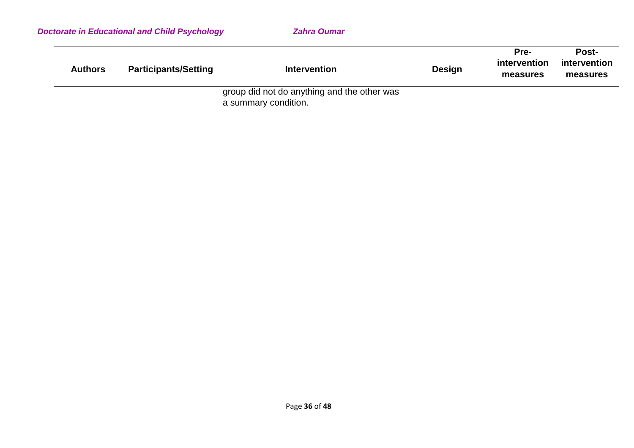|                | <b>Doctorate in Educational and Child Psychology</b> | <b>Zahra Oumar</b>                                                  |               |                                  |                                   |
|----------------|------------------------------------------------------|---------------------------------------------------------------------|---------------|----------------------------------|-----------------------------------|
| <b>Authors</b> | <b>Participants/Setting</b>                          | <b>Intervention</b>                                                 | <b>Design</b> | Pre-<br>intervention<br>measures | Post-<br>intervention<br>measures |
|                |                                                      | group did not do anything and the other was<br>a summary condition. |               |                                  |                                   |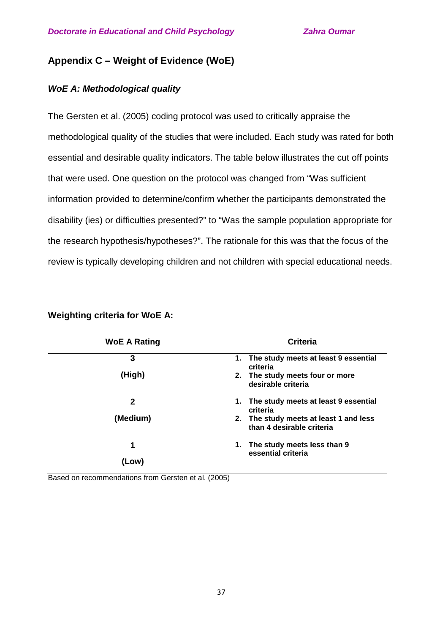## **Appendix C – Weight of Evidence (WoE)**

## *WoE A: Methodological quality*

The Gersten et al. (2005) coding protocol was used to critically appraise the methodological quality of the studies that were included. Each study was rated for both essential and desirable quality indicators. The table below illustrates the cut off points that were used. One question on the protocol was changed from "Was sufficient information provided to determine/confirm whether the participants demonstrated the disability (ies) or difficulties presented?" to "Was the sample population appropriate for the research hypothesis/hypotheses?". The rationale for this was that the focus of the review is typically developing children and not children with special educational needs.

| <b>WoE A Rating</b> | <b>Criteria</b>                                                     |
|---------------------|---------------------------------------------------------------------|
| 3                   | The study meets at least 9 essential<br>1.<br>criteria              |
| (High)              | 2. The study meets four or more<br>desirable criteria               |
| $\mathbf{2}$        | 1. The study meets at least 9 essential<br>criteria                 |
| (Medium)            | 2. The study meets at least 1 and less<br>than 4 desirable criteria |
| 1                   | The study meets less than 9<br>1.<br>essential criteria             |
| (Low)               |                                                                     |

**Weighting criteria for WoE A:** 

Based on recommendations from Gersten et al. (2005)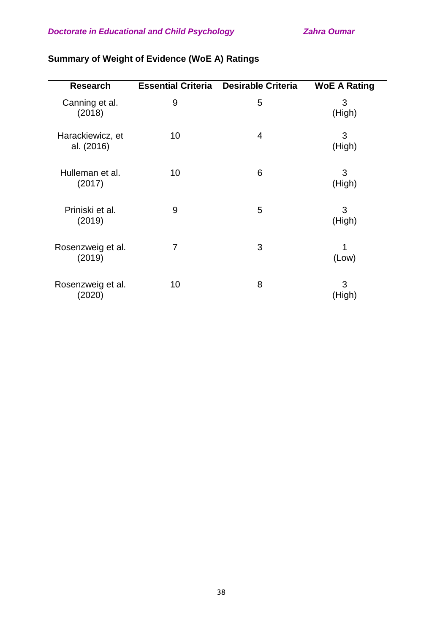| <b>Research</b>                | <b>Essential Criteria</b> | <b>Desirable Criteria</b> |                     |
|--------------------------------|---------------------------|---------------------------|---------------------|
|                                |                           |                           | <b>WoE A Rating</b> |
| Canning et al.<br>(2018)       | 9                         | 5                         | 3<br>(High)         |
| Harackiewicz, et<br>al. (2016) | 10                        | 4                         | 3<br>(High)         |
| Hulleman et al.<br>(2017)      | 10                        | 6                         | 3<br>(High)         |
| Priniski et al.<br>(2019)      | 9                         | 5                         | 3<br>(High)         |
| Rosenzweig et al.<br>(2019)    | 7                         | 3                         | 1<br>(Low)          |
| Rosenzweig et al.<br>(2020)    | 10                        | 8                         | 3<br>(High)         |

# **Summary of Weight of Evidence (WoE A) Ratings**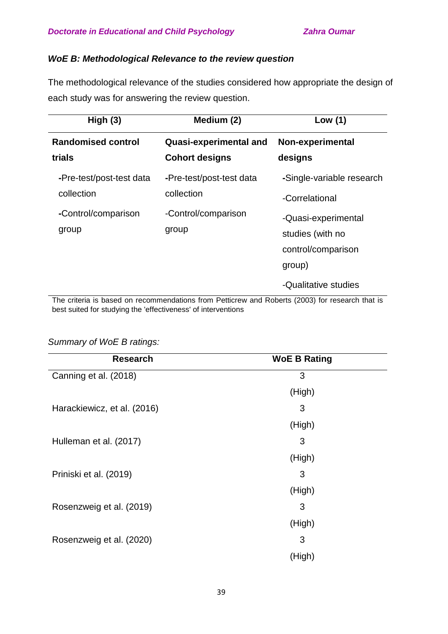## *WoE B: Methodological Relevance to the review question*

The methodological relevance of the studies considered how appropriate the design of each study was for answering the review question.

| High $(3)$                             | Medium (2)                                             | Low $(1)$                                                               |
|----------------------------------------|--------------------------------------------------------|-------------------------------------------------------------------------|
| <b>Randomised control</b><br>trials    | <b>Quasi-experimental and</b><br><b>Cohort designs</b> | <b>Non-experimental</b><br>designs                                      |
| -Pre-test/post-test data<br>collection | -Pre-test/post-test data<br>collection                 | -Single-variable research<br>-Correlational                             |
| -Control/comparison<br>group           | -Control/comparison<br>group                           | -Quasi-experimental<br>studies (with no<br>control/comparison<br>group) |
|                                        |                                                        | -Qualitative studies                                                    |

The criteria is based on recommendations from Petticrew and Roberts (2003) for research that is best suited for studying the 'effectiveness' of interventions

## *Summary of WoE B ratings:*

| <b>Research</b>             | <b>WoE B Rating</b> |  |
|-----------------------------|---------------------|--|
| Canning et al. (2018)       | 3                   |  |
|                             | (High)              |  |
| Harackiewicz, et al. (2016) | 3                   |  |
|                             | (High)              |  |
| Hulleman et al. (2017)      | 3                   |  |
|                             | (High)              |  |
| Priniski et al. (2019)      | 3                   |  |
|                             | (High)              |  |
| Rosenzweig et al. (2019)    | 3                   |  |
|                             | (High)              |  |
| Rosenzweig et al. (2020)    | 3                   |  |
|                             | (High)              |  |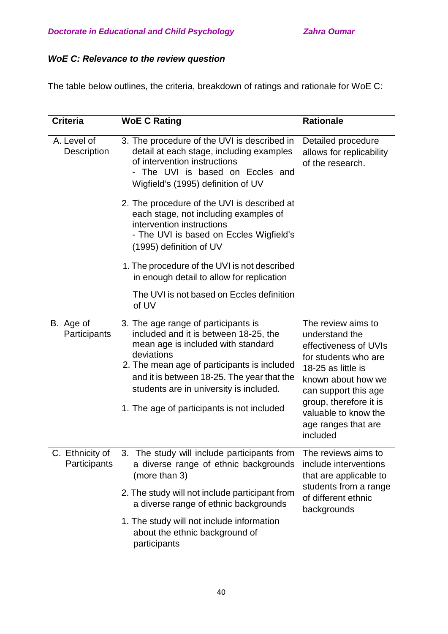# *WoE C: Relevance to the review question*

The table below outlines, the criteria, breakdown of ratings and rationale for WoE C:

| <b>Criteria</b>                 | <b>WoE C Rating</b>                                                                                                                                                                                                                                                                                                    | <b>Rationale</b>                                                                                                                                                                                                                               |  |
|---------------------------------|------------------------------------------------------------------------------------------------------------------------------------------------------------------------------------------------------------------------------------------------------------------------------------------------------------------------|------------------------------------------------------------------------------------------------------------------------------------------------------------------------------------------------------------------------------------------------|--|
| A. Level of<br>Description      | 3. The procedure of the UVI is described in<br>detail at each stage, including examples<br>of intervention instructions<br>The UVI is based on Eccles and<br>Wigfield's (1995) definition of UV                                                                                                                        | Detailed procedure<br>allows for replicability<br>of the research.                                                                                                                                                                             |  |
|                                 | 2. The procedure of the UVI is described at<br>each stage, not including examples of<br>intervention instructions<br>- The UVI is based on Eccles Wigfield's<br>(1995) definition of UV                                                                                                                                |                                                                                                                                                                                                                                                |  |
|                                 | 1. The procedure of the UVI is not described<br>in enough detail to allow for replication                                                                                                                                                                                                                              |                                                                                                                                                                                                                                                |  |
|                                 | The UVI is not based on Eccles definition<br>of UV                                                                                                                                                                                                                                                                     |                                                                                                                                                                                                                                                |  |
| B. Age of<br>Participants       | 3. The age range of participants is<br>included and it is between 18-25, the<br>mean age is included with standard<br>deviations<br>2. The mean age of participants is included<br>and it is between 18-25. The year that the<br>students are in university is included.<br>1. The age of participants is not included | The review aims to<br>understand the<br>effectiveness of UVIs<br>for students who are<br>18-25 as little is<br>known about how we<br>can support this age<br>group, therefore it is<br>valuable to know the<br>age ranges that are<br>included |  |
| C. Ethnicity of<br>Participants | 3. The study will include participants from<br>a diverse range of ethnic backgrounds<br>(more than 3)<br>2. The study will not include participant from<br>a diverse range of ethnic backgrounds<br>1. The study will not include information<br>about the ethnic background of<br>participants                        | The reviews aims to<br>include interventions<br>that are applicable to<br>students from a range<br>of different ethnic<br>backgrounds                                                                                                          |  |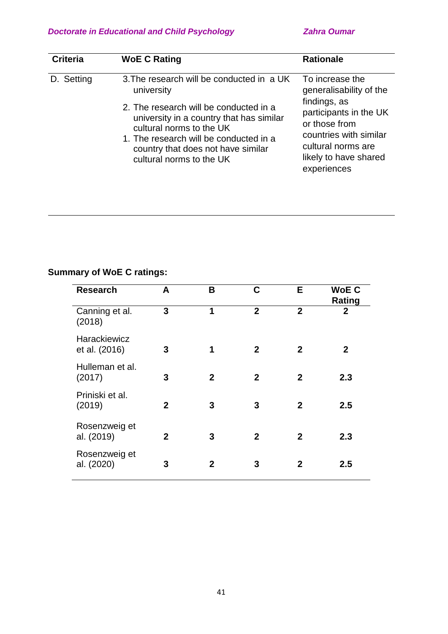| <b>Criteria</b> | <b>WoE C Rating</b>                                                                                                                                                                                                                                                                   | <b>Rationale</b>                                                                                                                                                                              |
|-----------------|---------------------------------------------------------------------------------------------------------------------------------------------------------------------------------------------------------------------------------------------------------------------------------------|-----------------------------------------------------------------------------------------------------------------------------------------------------------------------------------------------|
| D. Setting      | 3. The research will be conducted in a UK<br>university<br>2. The research will be conducted in a<br>university in a country that has similar<br>cultural norms to the UK<br>1. The research will be conducted in a<br>country that does not have similar<br>cultural norms to the UK | To increase the<br>generalisability of the<br>findings, as<br>participants in the UK<br>or those from<br>countries with similar<br>cultural norms are<br>likely to have shared<br>experiences |

# **Summary of WoE C ratings:**

| <b>Research</b>                      | A              | В            | C              | Е              | <b>WoEC</b><br>Rating |
|--------------------------------------|----------------|--------------|----------------|----------------|-----------------------|
| Canning et al.<br>(2018)             | 3              | 1            | $\overline{2}$ | $\overline{2}$ | $\mathbf 2$           |
| <b>Harackiewicz</b><br>et al. (2016) | 3              | 1            | $\mathbf{2}$   | $\mathbf{2}$   | $\mathbf{2}$          |
| Hulleman et al.<br>(2017)            | 3              | $\mathbf{2}$ | $\overline{2}$ | $\mathbf{2}$   | 2.3                   |
| Priniski et al.<br>(2019)            | $\overline{2}$ | 3            | 3              | $\mathbf{2}$   | 2.5                   |
| Rosenzweig et<br>al. (2019)          | $\overline{2}$ | 3            | $\overline{2}$ | 2              | 2.3                   |
| Rosenzweig et<br>al. (2020)          | 3              | 2            | 3              | 2              | $2.5\,$               |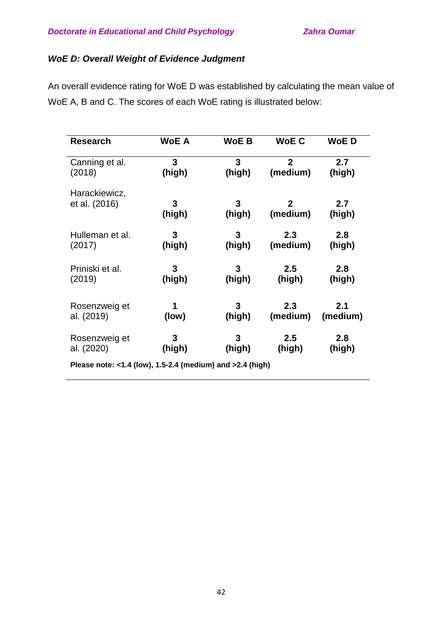## *WoE D: Overall Weight of Evidence Judgment*

An overall evidence rating for WoE D was established by calculating the mean value of WoE A, B and C. The scores of each WoE rating is illustrated below:

| <b>Research</b> | <b>WoE A</b> | <b>WoE B</b> | <b>WoE C</b>   | <b>WoED</b> |
|-----------------|--------------|--------------|----------------|-------------|
| Canning et al.  | 3            | 3            | $\overline{2}$ | 2.7         |
| (2018)          | (high)       | (high)       | (medium)       | (high)      |
| Harackiewicz,   | 3            | 3            | $\mathbf{2}$   | 2.7         |
| et al. (2016)   | (high)       | (high)       | (medium)       | (high)      |
| Hulleman et al. | 3            | 3            | 2.3            | 2.8         |
| (2017)          | (high)       | (high)       | (medium)       | (high)      |
| Priniski et al. | 3            | 3            | 2.5            | 2.8         |
| (2019)          | (high)       | (high)       | (high)         | (high)      |
| Rosenzweig et   | 1            | 3            | 2.3            | 2.1         |
| al. (2019)      | (low)        | (high)       | (medium)       | (medium)    |
| Rosenzweig et   | 3            | 3            | 2.5            | 2.8         |
| al. (2020)      | (high)       | (high)       | (high)         | (high)      |

**Please note: <1.4 (low), 1.5-2.4 (medium) and >2.4 (high)**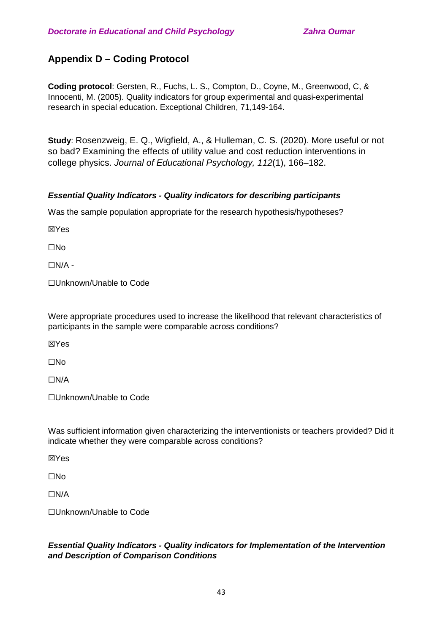# **Appendix D – Coding Protocol**

**Coding protocol**: Gersten, R., Fuchs, L. S., Compton, D., Coyne, M., Greenwood, C, & Innocenti, M. (2005). Quality indicators for group experimental and quasi-experimental research in special education. Exceptional Children, 71,149-164.

**Study**: Rosenzweig, E. Q., Wigfield, A., & Hulleman, C. S. (2020). More useful or not so bad? Examining the effects of utility value and cost reduction interventions in college physics. *Journal of Educational Psychology, 112*(1), 166–182.

## *Essential Quality Indicators - Quality indicators for describing participants*

Was the sample population appropriate for the research hypothesis/hypotheses?

☒Yes

☐No

 $\Box N/A$  -

☐Unknown/Unable to Code

Were appropriate procedures used to increase the likelihood that relevant characteristics of participants in the sample were comparable across conditions?

☒Yes

☐No

☐N/A

☐Unknown/Unable to Code

Was sufficient information given characterizing the interventionists or teachers provided? Did it indicate whether they were comparable across conditions?

☒Yes

☐No

☐N/A

☐Unknown/Unable to Code

## *Essential Quality Indicators - Quality indicators for Implementation of the Intervention and Description of Comparison Conditions*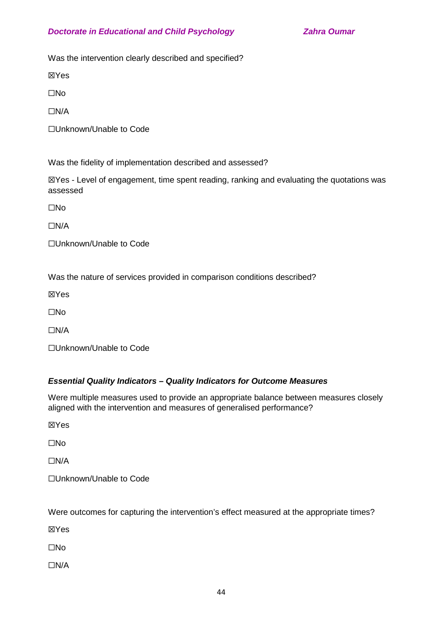Was the intervention clearly described and specified?

☒Yes

☐No

☐N/A

☐Unknown/Unable to Code

Was the fidelity of implementation described and assessed?

☒Yes - Level of engagement, time spent reading, ranking and evaluating the quotations was assessed

☐No

☐N/A

☐Unknown/Unable to Code

Was the nature of services provided in comparison conditions described?

☒Yes

☐No

☐N/A

☐Unknown/Unable to Code

## *Essential Quality Indicators – Quality Indicators for Outcome Measures*

Were multiple measures used to provide an appropriate balance between measures closely aligned with the intervention and measures of generalised performance?

☒Yes

☐No

 $\Box$ N/A

☐Unknown/Unable to Code

Were outcomes for capturing the intervention's effect measured at the appropriate times?

☒Yes

☐No

☐N/A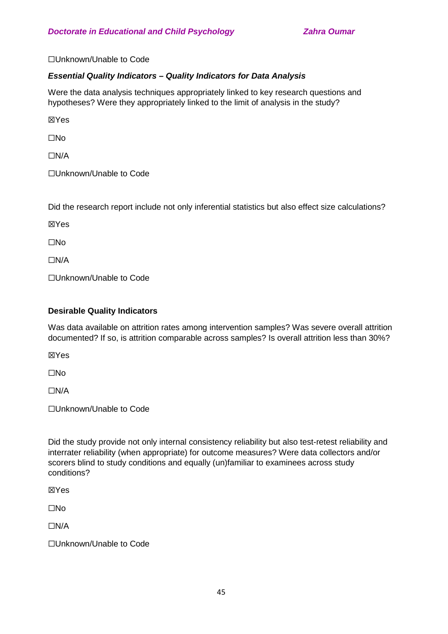☐Unknown/Unable to Code

## *Essential Quality Indicators – Quality Indicators for Data Analysis*

Were the data analysis techniques appropriately linked to key research questions and hypotheses? Were they appropriately linked to the limit of analysis in the study?

☒Yes

☐No

☐N/A

☐Unknown/Unable to Code

Did the research report include not only inferential statistics but also effect size calculations?

☒Yes

☐No

☐N/A

☐Unknown/Unable to Code

## **Desirable Quality Indicators**

Was data available on attrition rates among intervention samples? Was severe overall attrition documented? If so, is attrition comparable across samples? Is overall attrition less than 30%?

☒Yes

☐No

☐N/A

☐Unknown/Unable to Code

Did the study provide not only internal consistency reliability but also test-retest reliability and interrater reliability (when appropriate) for outcome measures? Were data collectors and/or scorers blind to study conditions and equally (un)familiar to examinees across study conditions?

☒Yes

☐No

☐N/A

☐Unknown/Unable to Code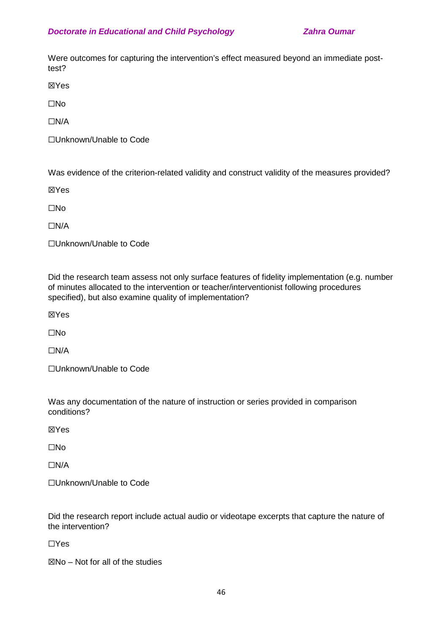Were outcomes for capturing the intervention's effect measured beyond an immediate posttest?

☒Yes

☐No

☐N/A

☐Unknown/Unable to Code

Was evidence of the criterion-related validity and construct validity of the measures provided?

☒Yes

☐No

☐N/A

☐Unknown/Unable to Code

Did the research team assess not only surface features of fidelity implementation (e.g. number of minutes allocated to the intervention or teacher/interventionist following procedures specified), but also examine quality of implementation?

☒Yes

☐No

☐N/A

☐Unknown/Unable to Code

Was any documentation of the nature of instruction or series provided in comparison conditions?

☒Yes

☐No

☐N/A

☐Unknown/Unable to Code

Did the research report include actual audio or videotape excerpts that capture the nature of the intervention?

☐Yes

 $\boxtimes$ No – Not for all of the studies